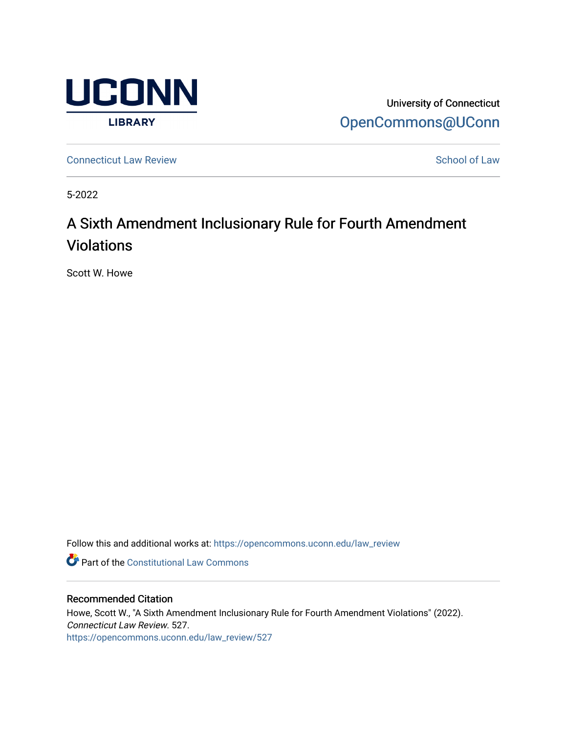

University of Connecticut [OpenCommons@UConn](https://opencommons.uconn.edu/) 

**[Connecticut Law Review](https://opencommons.uconn.edu/law_review) [School of Law](https://opencommons.uconn.edu/sol) Review School of Law School of Law School of Law School of Law School of Law School of Law School of Law School of Law School of Law School of Law School of Law School of Law School of** 

5-2022

# A Sixth Amendment Inclusionary Rule for Fourth Amendment Violations

Scott W. Howe

Follow this and additional works at: [https://opencommons.uconn.edu/law\\_review](https://opencommons.uconn.edu/law_review?utm_source=opencommons.uconn.edu%2Flaw_review%2F527&utm_medium=PDF&utm_campaign=PDFCoverPages)

*C* Part of the Constitutional Law Commons

# Recommended Citation

Howe, Scott W., "A Sixth Amendment Inclusionary Rule for Fourth Amendment Violations" (2022). Connecticut Law Review. 527. [https://opencommons.uconn.edu/law\\_review/527](https://opencommons.uconn.edu/law_review/527?utm_source=opencommons.uconn.edu%2Flaw_review%2F527&utm_medium=PDF&utm_campaign=PDFCoverPages)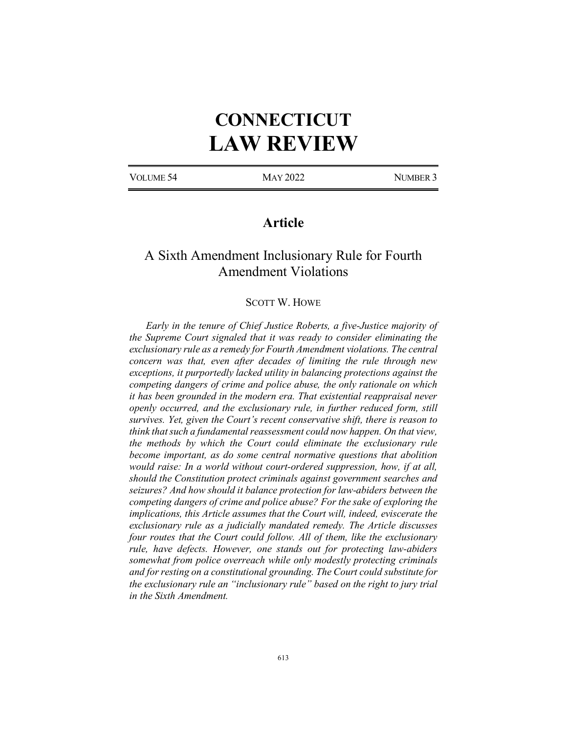# **CONNECTICUT LAW REVIEW**

VOLUME 54 MAY 2022 NUMBER 3

# **Article**

# A Sixth Amendment Inclusionary Rule for Fourth Amendment Violations

# SCOTT W. HOWE

*Early in the tenure of Chief Justice Roberts, a five-Justice majority of the Supreme Court signaled that it was ready to consider eliminating the exclusionary rule as a remedy for Fourth Amendment violations. The central concern was that, even after decades of limiting the rule through new exceptions, it purportedly lacked utility in balancing protections against the competing dangers of crime and police abuse, the only rationale on which it has been grounded in the modern era. That existential reappraisal never openly occurred, and the exclusionary rule, in further reduced form, still survives. Yet, given the Court's recent conservative shift, there is reason to think that such a fundamental reassessment could now happen. On that view, the methods by which the Court could eliminate the exclusionary rule become important, as do some central normative questions that abolition would raise: In a world without court-ordered suppression, how, if at all, should the Constitution protect criminals against government searches and seizures? And how should it balance protection for law-abiders between the competing dangers of crime and police abuse? For the sake of exploring the implications, this Article assumes that the Court will, indeed, eviscerate the exclusionary rule as a judicially mandated remedy. The Article discusses four routes that the Court could follow. All of them, like the exclusionary rule, have defects. However, one stands out for protecting law-abiders somewhat from police overreach while only modestly protecting criminals and for resting on a constitutional grounding. The Court could substitute for the exclusionary rule an "inclusionary rule" based on the right to jury trial in the Sixth Amendment.*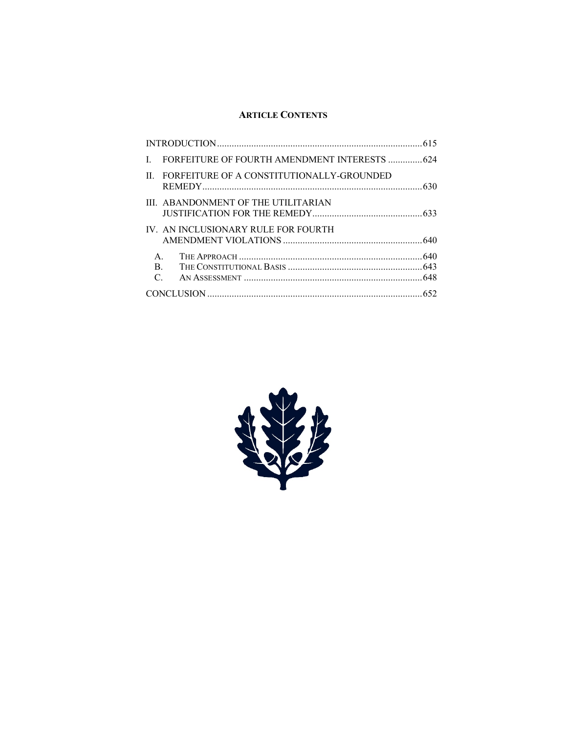# **ARTICLE CONTENTS**

|               | FORFEITURE OF FOURTH AMENDMENT INTERESTS  624 |  |
|---------------|-----------------------------------------------|--|
| $\mathbf{H}$  | FORFEITURE OF A CONSTITUTIONALLY-GROUNDED     |  |
|               | III. ABANDONMENT OF THE UTILITARIAN           |  |
|               | IV. AN INCLUSIONARY RULE FOR FOURTH           |  |
| $\mathsf{A}$  |                                               |  |
| B.            |                                               |  |
| $\mathcal{C}$ |                                               |  |
|               |                                               |  |

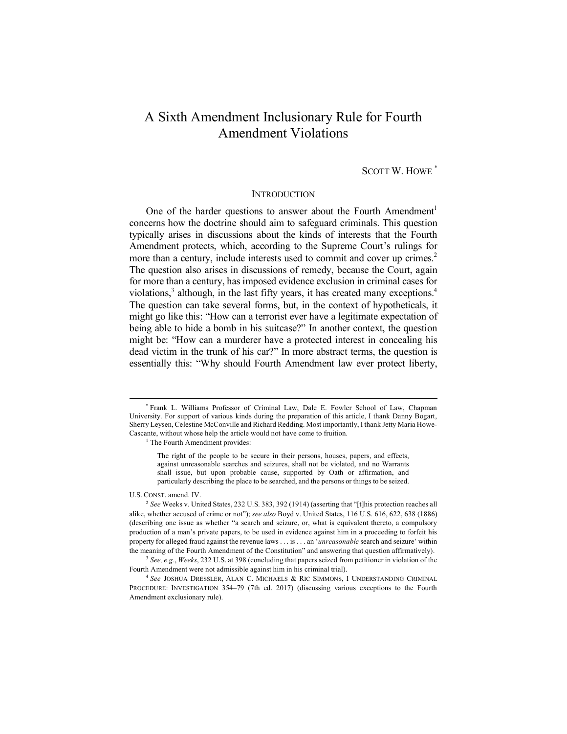# A Sixth Amendment Inclusionary Rule for Fourth Amendment Violations

SCOTT W. HOWE \*

### **INTRODUCTION**

One of the harder questions to answer about the Fourth Amendment<sup>1</sup> concerns how the doctrine should aim to safeguard criminals. This question typically arises in discussions about the kinds of interests that the Fourth Amendment protects, which, according to the Supreme Court's rulings for more than a century, include interests used to commit and cover up crimes.<sup>2</sup> The question also arises in discussions of remedy, because the Court, again for more than a century, has imposed evidence exclusion in criminal cases for violations, $3$  although, in the last fifty years, it has created many exceptions.<sup>4</sup> The question can take several forms, but, in the context of hypotheticals, it might go like this: "How can a terrorist ever have a legitimate expectation of being able to hide a bomb in his suitcase?" In another context, the question might be: "How can a murderer have a protected interest in concealing his dead victim in the trunk of his car?" In more abstract terms, the question is essentially this: "Why should Fourth Amendment law ever protect liberty,

<sup>1</sup> The Fourth Amendment provides:

The right of the people to be secure in their persons, houses, papers, and effects, against unreasonable searches and seizures, shall not be violated, and no Warrants shall issue, but upon probable cause, supported by Oath or affirmation, and particularly describing the place to be searched, and the persons or things to be seized.

U.S. CONST. amend. IV.

<sup>3</sup> *See, e.g.*, *Weeks*, 232 U.S. at 398 (concluding that papers seized from petitioner in violation of the Fourth Amendment were not admissible against him in his criminal trial).

<sup>4</sup> *See* JOSHUA DRESSLER, ALAN C. MICHAELS & RIC SIMMONS, I UNDERSTANDING CRIMINAL PROCEDURE: INVESTIGATION 354–79 (7th ed. 2017) (discussing various exceptions to the Fourth Amendment exclusionary rule).

 <sup>\*</sup> Frank L. Williams Professor of Criminal Law, Dale E. Fowler School of Law, Chapman University. For support of various kinds during the preparation of this article, I thank Danny Bogart, Sherry Leysen, Celestine McConville and Richard Redding. Most importantly, I thank Jetty Maria Howe-Cascante, without whose help the article would not have come to fruition.

<sup>2</sup> *See* Weeks v. United States, 232 U.S. 383, 392 (1914) (asserting that "[t]his protection reaches all alike, whether accused of crime or not"); *see also* Boyd v. United States, 116 U.S. 616, 622, 638 (1886) (describing one issue as whether "a search and seizure, or, what is equivalent thereto, a compulsory production of a man's private papers, to be used in evidence against him in a proceeding to forfeit his property for alleged fraud against the revenue laws . . . is . . . an '*unreasonable* search and seizure' within the meaning of the Fourth Amendment of the Constitution" and answering that question affirmatively).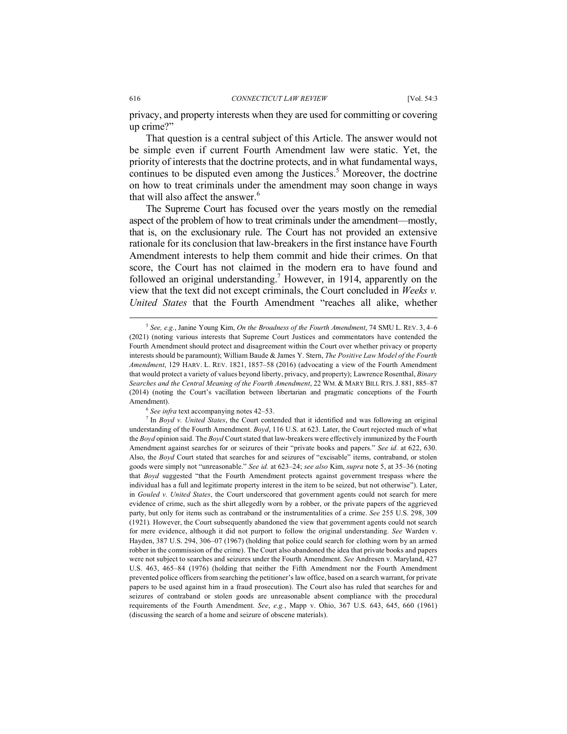#### 616 *CONNECTICUT LAW REVIEW* [Vol. 54:3

privacy, and property interests when they are used for committing or covering up crime?"

That question is a central subject of this Article. The answer would not be simple even if current Fourth Amendment law were static. Yet, the priority of interests that the doctrine protects, and in what fundamental ways, continues to be disputed even among the Justices.<sup>5</sup> Moreover, the doctrine on how to treat criminals under the amendment may soon change in ways that will also affect the answer.<sup>6</sup>

The Supreme Court has focused over the years mostly on the remedial aspect of the problem of how to treat criminals under the amendment—mostly, that is, on the exclusionary rule. The Court has not provided an extensive rationale for its conclusion that law-breakers in the first instance have Fourth Amendment interests to help them commit and hide their crimes. On that score, the Court has not claimed in the modern era to have found and followed an original understanding.<sup>7</sup> However, in 1914, apparently on the view that the text did not except criminals, the Court concluded in *Weeks v. United States* that the Fourth Amendment "reaches all alike, whether

<sup>6</sup> *See infra* text accompanying notes 42–53.

 <sup>5</sup> *See, e.g.*, Janine Young Kim, *On the Broadness of the Fourth Amendment*, 74 SMU L. REV. 3, 4–6 (2021) (noting various interests that Supreme Court Justices and commentators have contended the Fourth Amendment should protect and disagreement within the Court over whether privacy or property interests should be paramount); William Baude & James Y. Stern, *The Positive Law Model of the Fourth Amendment*, 129 HARV. L. REV. 1821, 1857–58 (2016) (advocating a view of the Fourth Amendment that would protect a variety of values beyond liberty, privacy, and property); Lawrence Rosenthal, *Binary Searches and the Central Meaning of the Fourth Amendment*, 22 WM. & MARY BILL RTS.J. 881, 885–87 (2014) (noting the Court's vacillation between libertarian and pragmatic conceptions of the Fourth Amendment).

<sup>7</sup> In *Boyd v. United States*, the Court contended that it identified and was following an original understanding of the Fourth Amendment. *Boyd*, 116 U.S. at 623. Later, the Court rejected much of what the *Boyd* opinion said. The *Boyd* Court stated that law-breakers were effectively immunized by the Fourth Amendment against searches for or seizures of their "private books and papers." *See id.* at 622, 630. Also, the *Boyd* Court stated that searches for and seizures of "excisable" items, contraband, or stolen goods were simply not "unreasonable." *See id.* at 623–24; *see also* Kim, *supra* note 5, at 35–36 (noting that *Boyd* suggested "that the Fourth Amendment protects against government trespass where the individual has a full and legitimate property interest in the item to be seized, but not otherwise"). Later, in *Gouled v. United States*, the Court underscored that government agents could not search for mere evidence of crime, such as the shirt allegedly worn by a robber, or the private papers of the aggrieved party, but only for items such as contraband or the instrumentalities of a crime. *See* 255 U.S. 298, 309 (1921)*.* However, the Court subsequently abandoned the view that government agents could not search for mere evidence, although it did not purport to follow the original understanding. *See* Warden v. Hayden, 387 U.S. 294, 306–07 (1967) (holding that police could search for clothing worn by an armed robber in the commission of the crime). The Court also abandoned the idea that private books and papers were not subject to searches and seizures under the Fourth Amendment. *See* Andresen v. Maryland, 427 U.S. 463, 465–84 (1976) (holding that neither the Fifth Amendment nor the Fourth Amendment prevented police officers from searching the petitioner's law office, based on a search warrant, for private papers to be used against him in a fraud prosecution). The Court also has ruled that searches for and seizures of contraband or stolen goods are unreasonable absent compliance with the procedural requirements of the Fourth Amendment. *See*, *e.g.*, Mapp v. Ohio, 367 U.S. 643, 645, 660 (1961) (discussing the search of a home and seizure of obscene materials).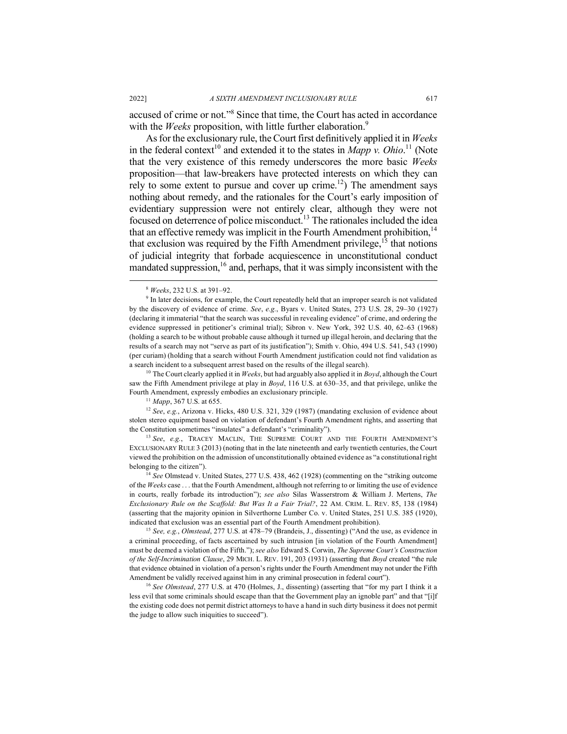accused of crime or not."8 Since that time, the Court has acted in accordance with the *Weeks* proposition, with little further elaboration.<sup>9</sup>

As for the exclusionary rule, the Court first definitively applied it in *Weeks* in the federal context<sup>10</sup> and extended it to the states in *Mapp v. Ohio*.<sup>11</sup> (Note that the very existence of this remedy underscores the more basic *Weeks*  proposition—that law-breakers have protected interests on which they can rely to some extent to pursue and cover up crime.<sup>12</sup>) The amendment says nothing about remedy, and the rationales for the Court's early imposition of evidentiary suppression were not entirely clear, although they were not focused on deterrence of police misconduct.13 The rationales included the idea that an effective remedy was implicit in the Fourth Amendment prohibition.<sup>14</sup> that exclusion was required by the Fifth Amendment privilege,  $15$  that notions of judicial integrity that forbade acquiescence in unconstitutional conduct mandated suppression,  $16$  and, perhaps, that it was simply inconsistent with the

<sup>10</sup> The Court clearly applied it in *Weeks*, but had arguably also applied it in *Boyd*, although the Court saw the Fifth Amendment privilege at play in *Boyd*, 116 U.S. at 630–35, and that privilege, unlike the Fourth Amendment, expressly embodies an exclusionary principle.

<sup>11</sup> *Mapp*, 367 U.S. at 655.

<sup>12</sup> *See*, *e.g.*, Arizona v. Hicks, 480 U.S. 321, 329 (1987) (mandating exclusion of evidence about stolen stereo equipment based on violation of defendant's Fourth Amendment rights, and asserting that the Constitution sometimes "insulates" a defendant's "criminality").

<sup>13</sup> See, e.g., TRACEY MACLIN, THE SUPREME COURT AND THE FOURTH AMENDMENT'S EXCLUSIONARY RULE 3 (2013) (noting that in the late nineteenth and early twentieth centuries, the Court viewed the prohibition on the admission of unconstitutionally obtained evidence as "a constitutional right belonging to the citizen").

<sup>14</sup> *See* Olmstead v. United States, 277 U.S. 438, 462 (1928) (commenting on the "striking outcome of the *Weeks* case . . . that the Fourth Amendment, although not referring to or limiting the use of evidence in courts, really forbade its introduction"); *see also* Silas Wasserstrom & William J. Mertens, *The Exclusionary Rule on the Scaffold: But Was It a Fair Trial?*, 22 AM. CRIM. L. REV. 85, 138 (1984) (asserting that the majority opinion in Silverthorne Lumber Co. v. United States, 251 U.S. 385 (1920), indicated that exclusion was an essential part of the Fourth Amendment prohibition).

<sup>15</sup> *See, e.g.*, *Olmstead*, 277 U.S. at 478–79 (Brandeis, J., dissenting) ("And the use, as evidence in a criminal proceeding, of facts ascertained by such intrusion [in violation of the Fourth Amendment] must be deemed a violation of the Fifth."); *see also* Edward S. Corwin, *The Supreme Court's Construction of the Self-Incrimination Clause*, 29 MICH. L. REV. 191, 203 (1931) (asserting that *Boyd* created "the rule that evidence obtained in violation of a person's rights under the Fourth Amendment may not under the Fifth Amendment be validly received against him in any criminal prosecution in federal court").

<sup>16</sup> See Olmstead, 277 U.S. at 470 (Holmes, J., dissenting) (asserting that "for my part I think it a less evil that some criminals should escape than that the Government play an ignoble part" and that "[i]f the existing code does not permit district attorneys to have a hand in such dirty business it does not permit the judge to allow such iniquities to succeed").

 <sup>8</sup> *Weeks*, 232 U.S. at 391–92.

<sup>9</sup> In later decisions, for example, the Court repeatedly held that an improper search is not validated by the discovery of evidence of crime. *See*, *e.g.*, Byars v. United States, 273 U.S. 28, 29–30 (1927) (declaring it immaterial "that the search was successful in revealing evidence" of crime, and ordering the evidence suppressed in petitioner's criminal trial); Sibron v. New York, 392 U.S. 40, 62–63 (1968) (holding a search to be without probable cause although it turned up illegal heroin, and declaring that the results of a search may not "serve as part of its justification"); Smith v. Ohio, 494 U.S. 541, 543 (1990) (per curiam) (holding that a search without Fourth Amendment justification could not find validation as a search incident to a subsequent arrest based on the results of the illegal search).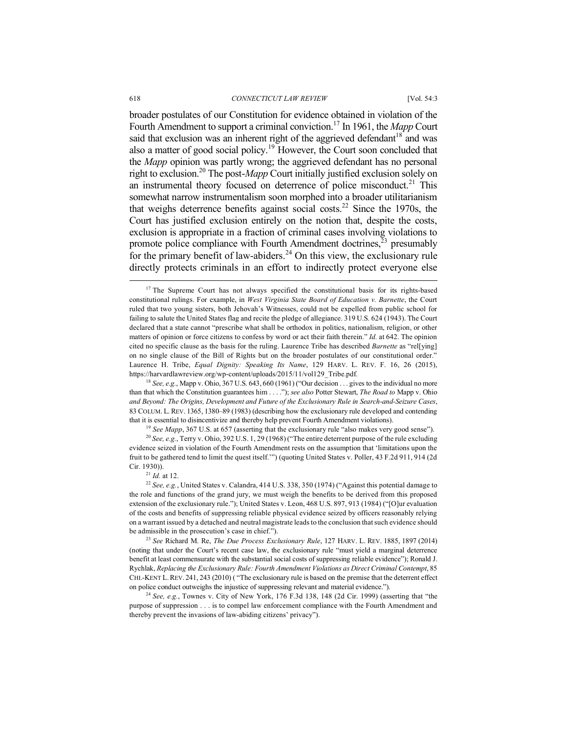#### 618 *CONNECTICUT LAW REVIEW* [Vol. 54:3

broader postulates of our Constitution for evidence obtained in violation of the Fourth Amendment to support a criminal conviction.17 In 1961, the *Mapp* Court said that exclusion was an inherent right of the aggrieved defendant<sup>18</sup> and was also a matter of good social policy.<sup>19</sup> However, the Court soon concluded that the *Mapp* opinion was partly wrong; the aggrieved defendant has no personal right to exclusion.20 The post-*Mapp* Court initially justified exclusion solely on an instrumental theory focused on deterrence of police misconduct.<sup>21</sup> This somewhat narrow instrumentalism soon morphed into a broader utilitarianism that weighs deterrence benefits against social costs.<sup>22</sup> Since the 1970s, the Court has justified exclusion entirely on the notion that, despite the costs, exclusion is appropriate in a fraction of criminal cases involving violations to promote police compliance with Fourth Amendment doctrines, $\bar{x}$ <sup>3</sup> presumably for the primary benefit of law-abiders.<sup>24</sup> On this view, the exclusionary rule directly protects criminals in an effort to indirectly protect everyone else

<sup>18</sup> *See, e.g.*, Mapp v. Ohio, 367 U.S. 643, 660 (1961) ("Our decision . . . gives to the individual no more than that which the Constitution guarantees him . . . ."); *see also* Potter Stewart, *The Road to* Mapp v. Ohio *and Beyond: The Origins, Development and Future of the Exclusionary Rule in Search-and-Seizure Cases*, 83 COLUM. L. REV. 1365, 1380–89 (1983) (describing how the exclusionary rule developed and contending that it is essential to disincentivize and thereby help prevent Fourth Amendment violations).

<sup>19</sup> *See Mapp*, 367 U.S. at 657 (asserting that the exclusionary rule "also makes very good sense").

<sup>20</sup> *See, e.g.*, Terry v. Ohio, 392 U.S. 1, 29 (1968) ("The entire deterrent purpose of the rule excluding evidence seized in violation of the Fourth Amendment rests on the assumption that 'limitations upon the fruit to be gathered tend to limit the quest itself.'") (quoting United States v. Poller, 43 F.2d 911, 914 (2d Cir. 1930)). 21 *Id.* at 12.

<sup>23</sup> *See* Richard M. Re, *The Due Process Exclusionary Rule*, 127 HARV. L. REV. 1885, 1897 (2014) (noting that under the Court's recent case law, the exclusionary rule "must yield a marginal deterrence benefit at least commensurate with the substantial social costs of suppressing reliable evidence"); Ronald J. Rychlak, *Replacing the Exclusionary Rule: Fourth Amendment Violations as Direct Criminal Contempt*, 85 CHI.-KENT L.REV. 241, 243 (2010) ( "The exclusionary rule is based on the premise that the deterrent effect on police conduct outweighs the injustice of suppressing relevant and material evidence.").

<sup>24</sup> *See, e.g.*, Townes v. City of New York, 176 F.3d 138, 148 (2d Cir. 1999) (asserting that "the purpose of suppression . . . is to compel law enforcement compliance with the Fourth Amendment and thereby prevent the invasions of law-abiding citizens' privacy").

<sup>&</sup>lt;sup>17</sup> The Supreme Court has not always specified the constitutional basis for its rights-based constitutional rulings. For example, in *West Virginia State Board of Education v. Barnette*, the Court ruled that two young sisters, both Jehovah's Witnesses, could not be expelled from public school for failing to salute the United States flag and recite the pledge of allegiance. 319 U.S. 624 (1943). The Court declared that a state cannot "prescribe what shall be orthodox in politics, nationalism, religion, or other matters of opinion or force citizens to confess by word or act their faith therein." *Id.* at 642. The opinion cited no specific clause as the basis for the ruling. Laurence Tribe has described *Barnette* as "rel[ying] on no single clause of the Bill of Rights but on the broader postulates of our constitutional order." Laurence H. Tribe, *Equal Dignity: Speaking Its Name*, 129 HARV. L. REV. F. 16, 26 (2015), https://harvardlawreview.org/wp-content/uploads/2015/11/vol129\_Tribe.pdf.

<sup>22</sup> *See, e.g.*, United States v. Calandra, 414 U.S. 338, 350 (1974) ("Against this potential damage to the role and functions of the grand jury, we must weigh the benefits to be derived from this proposed extension of the exclusionary rule."); United States v. Leon, 468 U.S. 897, 913 (1984) ("[O]ur evaluation of the costs and benefits of suppressing reliable physical evidence seized by officers reasonably relying on a warrant issued by a detached and neutral magistrate leads to the conclusion that such evidence should be admissible in the prosecution's case in chief.").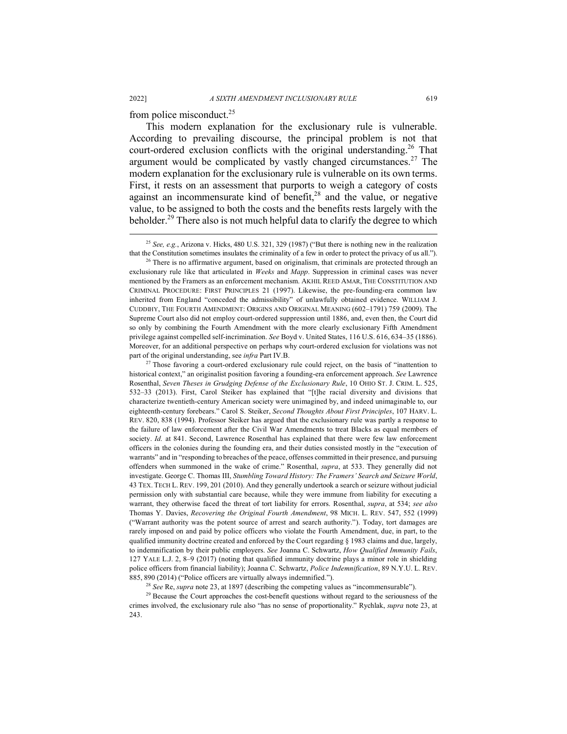from police misconduct.25

This modern explanation for the exclusionary rule is vulnerable. According to prevailing discourse, the principal problem is not that court-ordered exclusion conflicts with the original understanding.<sup>26</sup> That argument would be complicated by vastly changed circumstances.<sup>27</sup> The modern explanation for the exclusionary rule is vulnerable on its own terms. First, it rests on an assessment that purports to weigh a category of costs against an incommensurate kind of benefit, $28$  and the value, or negative value, to be assigned to both the costs and the benefits rests largely with the beholder.<sup>29</sup> There also is not much helpful data to clarify the degree to which

<sup>27</sup> Those favoring a court-ordered exclusionary rule could reject, on the basis of "inattention to historical context," an originalist position favoring a founding-era enforcement approach. *See* Lawrence Rosenthal, *Seven Theses in Grudging Defense of the Exclusionary Rule*, 10 OHIO ST. J. CRIM. L. 525, 532–33 (2013). First, Carol Steiker has explained that "[t]he racial diversity and divisions that characterize twentieth-century American society were unimagined by, and indeed unimaginable to, our eighteenth-century forebears." Carol S. Steiker, *Second Thoughts About First Principles*, 107 HARV. L. REV. 820, 838 (1994). Professor Steiker has argued that the exclusionary rule was partly a response to the failure of law enforcement after the Civil War Amendments to treat Blacks as equal members of society. *Id.* at 841. Second, Lawrence Rosenthal has explained that there were few law enforcement officers in the colonies during the founding era, and their duties consisted mostly in the "execution of warrants" and in "responding to breaches of the peace, offenses committed in their presence, and pursuing offenders when summoned in the wake of crime." Rosenthal, *supra*, at 533. They generally did not investigate. George C. Thomas III, *Stumbling Toward History: The Framers' Search and Seizure World*, 43 TEX. TECH L. REV. 199, 201 (2010). And they generally undertook a search or seizure without judicial permission only with substantial care because, while they were immune from liability for executing a warrant, they otherwise faced the threat of tort liability for errors. Rosenthal, *supra*, at 534; *see also*  Thomas Y. Davies, *Recovering the Original Fourth Amendment*, 98 MICH. L. REV. 547, 552 (1999) ("Warrant authority was the potent source of arrest and search authority."). Today, tort damages are rarely imposed on and paid by police officers who violate the Fourth Amendment, due, in part, to the qualified immunity doctrine created and enforced by the Court regarding § 1983 claims and due, largely, to indemnification by their public employers. *See* Joanna C. Schwartz, *How Qualified Immunity Fails*, 127 YALE L.J. 2, 8–9 (2017) (noting that qualified immunity doctrine plays a minor role in shielding police officers from financial liability); Joanna C. Schwartz, *Police Indemnification*, 89 N.Y.U. L. REV. 885, 890 (2014) ("Police officers are virtually always indemnified.").

<sup>28</sup> *See* Re, *supra* note 23, at 1897 (describing the competing values as "incommensurable").

<sup>29</sup> Because the Court approaches the cost-benefit questions without regard to the seriousness of the crimes involved, the exclusionary rule also "has no sense of proportionality." Rychlak, *supra* note 23, at 243.

 <sup>25</sup> *See, e.g.*, Arizona v. Hicks, 480 U.S. 321, 329 (1987) ("But there is nothing new in the realization

that the Constitution sometimes insulates the criminality of a few in order to protect the privacy of us all."). <sup>26</sup> There is no affirmative argument, based on originalism, that criminals are protected through an exclusionary rule like that articulated in *Weeks* and *Mapp*. Suppression in criminal cases was never mentioned by the Framers as an enforcement mechanism. AKHIL REED AMAR, THE CONSTITUTION AND CRIMINAL PROCEDURE: FIRST PRINCIPLES 21 (1997). Likewise, the pre-founding-era common law inherited from England "conceded the admissibility" of unlawfully obtained evidence. WILLIAM J. CUDDIHY, THE FOURTH AMENDMENT: ORIGINS AND ORIGINAL MEANING (602–1791) 759 (2009). The Supreme Court also did not employ court-ordered suppression until 1886, and, even then, the Court did so only by combining the Fourth Amendment with the more clearly exclusionary Fifth Amendment privilege against compelled self-incrimination. *See* Boyd v. United States, 116 U.S. 616, 634–35 (1886). Moreover, for an additional perspective on perhaps why court-ordered exclusion for violations was not part of the original understanding, see *infra* Part IV.B.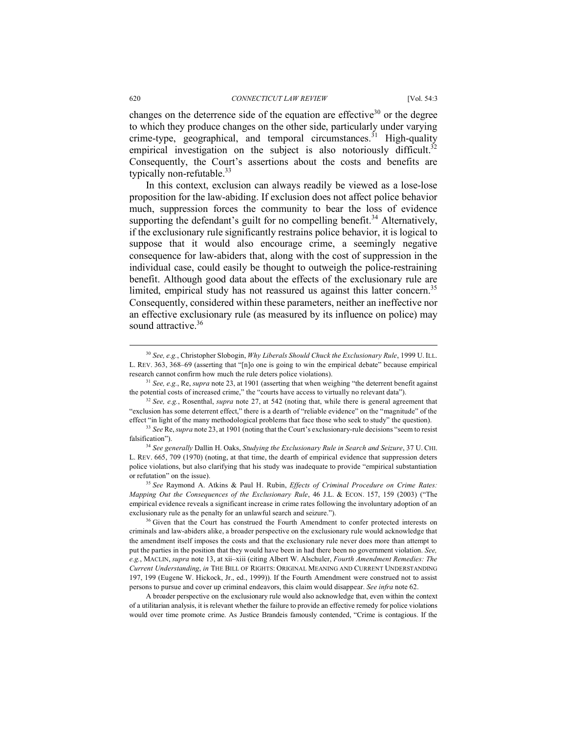changes on the deterrence side of the equation are effective<sup>30</sup> or the degree to which they produce changes on the other side, particularly under varying crime-type, geographical, and temporal circumstances.<sup> $31$ </sup> High-quality empirical investigation on the subject is also notoriously difficult.<sup>32</sup> Consequently, the Court's assertions about the costs and benefits are typically non-refutable.<sup>33</sup>

In this context, exclusion can always readily be viewed as a lose-lose proposition for the law-abiding. If exclusion does not affect police behavior much, suppression forces the community to bear the loss of evidence supporting the defendant's guilt for no compelling benefit.<sup>34</sup> Alternatively, if the exclusionary rule significantly restrains police behavior, it is logical to suppose that it would also encourage crime, a seemingly negative consequence for law-abiders that, along with the cost of suppression in the individual case, could easily be thought to outweigh the police-restraining benefit. Although good data about the effects of the exclusionary rule are limited, empirical study has not reassured us against this latter concern.<sup>35</sup> Consequently, considered within these parameters, neither an ineffective nor an effective exclusionary rule (as measured by its influence on police) may sound attractive.<sup>36</sup>

<sup>32</sup> *See, e.g.*, Rosenthal, *supra* note 27, at 542 (noting that, while there is general agreement that "exclusion has some deterrent effect," there is a dearth of "reliable evidence" on the "magnitude" of the effect "in light of the many methodological problems that face those who seek to study" the question).

<sup>33</sup> *See* Re, *supra* note 23, at 1901 (noting that the Court's exclusionary-rule decisions "seem to resist falsification").

<sup>34</sup> *See generally* Dallin H. Oaks, *Studying the Exclusionary Rule in Search and Seizure*, 37 U. CHI. L. REV. 665, 709 (1970) (noting, at that time, the dearth of empirical evidence that suppression deters police violations, but also clarifying that his study was inadequate to provide "empirical substantiation or refutation" on the issue).

<sup>35</sup> *See* Raymond A. Atkins & Paul H. Rubin, *Effects of Criminal Procedure on Crime Rates: Mapping Out the Consequences of the Exclusionary Rule*, 46 J.L. & ECON. 157, 159 (2003) ("The empirical evidence reveals a significant increase in crime rates following the involuntary adoption of an exclusionary rule as the penalty for an unlawful search and seizure.").

<sup>36</sup> Given that the Court has construed the Fourth Amendment to confer protected interests on criminals and law-abiders alike, a broader perspective on the exclusionary rule would acknowledge that the amendment itself imposes the costs and that the exclusionary rule never does more than attempt to put the parties in the position that they would have been in had there been no government violation. *See, e.g.*, MACLIN, *supra* note 13, at xii–xiii (citing Albert W. Alschuler, *Fourth Amendment Remedies: The Current Understanding*, *in* THE BILL OF RIGHTS: ORIGINAL MEANING AND CURRENT UNDERSTANDING 197, 199 (Eugene W. Hickock, Jr., ed., 1999)). If the Fourth Amendment were construed not to assist persons to pursue and cover up criminal endeavors, this claim would disappear. *See infra* note 62.

A broader perspective on the exclusionary rule would also acknowledge that, even within the context of a utilitarian analysis, it is relevant whether the failure to provide an effective remedy for police violations would over time promote crime. As Justice Brandeis famously contended, "Crime is contagious. If the

 <sup>30</sup> *See, e.g.*, Christopher Slobogin, *Why Liberals Should Chuck the Exclusionary Rule*, 1999 U. ILL. L. REV. 363, 368–69 (asserting that "[n]o one is going to win the empirical debate" because empirical research cannot confirm how much the rule deters police violations). 31 *See, e.g.*, Re, *supra* note 23, at 1901 (asserting that when weighing "the deterrent benefit against

the potential costs of increased crime," the "courts have access to virtually no relevant data").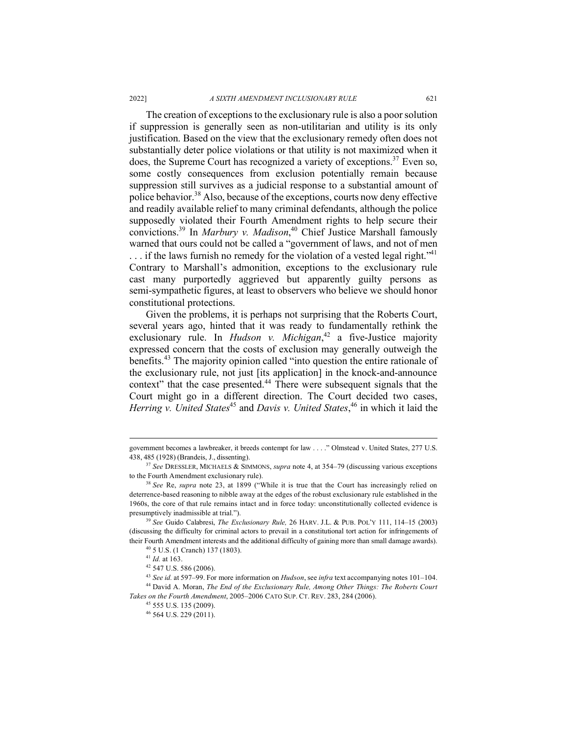#### 2022] *A SIXTH AMENDMENT INCLUSIONARY RULE* 621

The creation of exceptions to the exclusionary rule is also a poor solution if suppression is generally seen as non-utilitarian and utility is its only justification. Based on the view that the exclusionary remedy often does not substantially deter police violations or that utility is not maximized when it does, the Supreme Court has recognized a variety of exceptions.<sup>37</sup> Even so, some costly consequences from exclusion potentially remain because suppression still survives as a judicial response to a substantial amount of police behavior.<sup>38</sup> Also, because of the exceptions, courts now deny effective and readily available relief to many criminal defendants, although the police supposedly violated their Fourth Amendment rights to help secure their convictions.39 In *Marbury v. Madison*, <sup>40</sup> Chief Justice Marshall famously warned that ours could not be called a "government of laws, and not of men  $\ldots$  if the laws furnish no remedy for the violation of a vested legal right.<sup>"41</sup> Contrary to Marshall's admonition, exceptions to the exclusionary rule cast many purportedly aggrieved but apparently guilty persons as semi-sympathetic figures, at least to observers who believe we should honor constitutional protections.

Given the problems, it is perhaps not surprising that the Roberts Court, several years ago, hinted that it was ready to fundamentally rethink the exclusionary rule. In *Hudson v. Michigan*<sup>42</sup> a five-Justice majority expressed concern that the costs of exclusion may generally outweigh the benefits. <sup>43</sup> The majority opinion called "into question the entire rationale of the exclusionary rule, not just [its application] in the knock-and-announce context" that the case presented.<sup>44</sup> There were subsequent signals that the Court might go in a different direction. The Court decided two cases, Herring v. United States<sup>45</sup> and Davis v. United States,<sup>46</sup> in which it laid the

government becomes a lawbreaker, it breeds contempt for law . . . ." Olmstead v. United States, 277 U.S. 438, 485 (1928) (Brandeis, J., dissenting). 37 *See* DRESSLER, MICHAELS & SIMMONS, *supra* note 4, at 354–79 (discussing various exceptions

to the Fourth Amendment exclusionary rule).

<sup>38</sup> *See* Re, *supra* note 23, at 1899 ("While it is true that the Court has increasingly relied on deterrence-based reasoning to nibble away at the edges of the robust exclusionary rule established in the 1960s, the core of that rule remains intact and in force today: unconstitutionally collected evidence is presumptively inadmissible at trial.").

<sup>39</sup> *See* Guido Calabresi, *The Exclusionary Rule,* 26 HARV. J.L. & PUB. POL'Y 111, 114–15 (2003) (discussing the difficulty for criminal actors to prevail in a constitutional tort action for infringements of their Fourth Amendment interests and the additional difficulty of gaining more than small damage awards).

<sup>40</sup> 5 U.S. (1 Cranch) 137 (1803).

<sup>41</sup> *Id.* at 163.

<sup>42</sup> 547 U.S. 586 (2006).

<sup>43</sup> *See id.* at 597–99. For more information on *Hudson*, see *infra* text accompanying notes 101–104. <sup>44</sup> David A. Moran, *The End of the Exclusionary Rule, Among Other Things: The Roberts Court Takes on the Fourth Amendment*, 2005–2006 CATO SUP. CT. REV. 283, 284 (2006). 45 555 U.S. 135 (2009).

<sup>46</sup> 564 U.S. 229 (2011).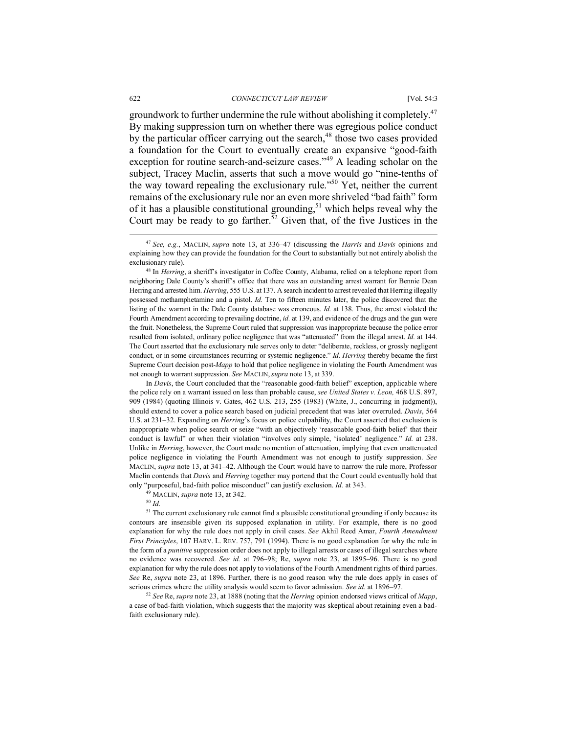groundwork to further undermine the rule without abolishing it completely.<sup>47</sup> By making suppression turn on whether there was egregious police conduct by the particular officer carrying out the search, $48$  those two cases provided a foundation for the Court to eventually create an expansive "good-faith exception for routine search-and-seizure cases."<sup>49</sup> A leading scholar on the subject, Tracey Maclin, asserts that such a move would go "nine-tenths of the way toward repealing the exclusionary rule."<sup>50</sup> Yet, neither the current remains of the exclusionary rule nor an even more shriveled "bad faith" form of it has a plausible constitutional grounding,<sup>51</sup> which helps reveal why the Court may be ready to go farther.<sup>52</sup> Given that, of the five Justices in the

<sup>48</sup> In *Herring*, a sheriff's investigator in Coffee County, Alabama, relied on a telephone report from neighboring Dale County's sheriff's office that there was an outstanding arrest warrant for Bennie Dean Herring and arrested him. *Herring*, 555 U.S. at 137*.* A search incident to arrest revealed that Herring illegally possessed methamphetamine and a pistol. *Id.* Ten to fifteen minutes later, the police discovered that the listing of the warrant in the Dale County database was erroneous. *Id.* at 138. Thus, the arrest violated the Fourth Amendment according to prevailing doctrine, *id.* at 139, and evidence of the drugs and the gun were the fruit. Nonetheless, the Supreme Court ruled that suppression was inappropriate because the police error resulted from isolated, ordinary police negligence that was "attenuated" from the illegal arrest. *Id.* at 144. The Court asserted that the exclusionary rule serves only to deter "deliberate, reckless, or grossly negligent conduct, or in some circumstances recurring or systemic negligence." *Id*. *Herring* thereby became the first Supreme Court decision post-*Mapp* to hold that police negligence in violating the Fourth Amendment was not enough to warrant suppression. *See* MACLIN, *supra* note 13, at 339.

In *Davis*, the Court concluded that the "reasonable good-faith belief" exception, applicable where the police rely on a warrant issued on less than probable cause, *see United States v. Leon,* 468 U.S. 897, 909 (1984) (quoting Illinois v. Gates, 462 U.S. 213, 255 (1983) (White, J., concurring in judgment)), should extend to cover a police search based on judicial precedent that was later overruled. *Davis*, 564 U.S. at 231–32. Expanding on *Herring*'s focus on police culpability, the Court asserted that exclusion is inappropriate when police search or seize "with an objectively 'reasonable good-faith belief' that their conduct is lawful" or when their violation "involves only simple, 'isolated' negligence." *Id.* at 238. Unlike in *Herring*, however, the Court made no mention of attenuation, implying that even unattenuated police negligence in violating the Fourth Amendment was not enough to justify suppression. *See*  MACLIN, *supra* note 13, at 341–42. Although the Court would have to narrow the rule more, Professor Maclin contends that *Davis* and *Herring* together may portend that the Court could eventually hold that only "purposeful, bad-faith police misconduct" can justify exclusion. *Id.* at 343. 49 MACLIN, *supra* note 13, at 342.

<sup>50</sup> *Id.*

<sup>51</sup> The current exclusionary rule cannot find a plausible constitutional grounding if only because its contours are insensible given its supposed explanation in utility. For example, there is no good explanation for why the rule does not apply in civil cases. *See* Akhil Reed Amar, *Fourth Amendment First Principles*, 107 HARV. L. REV. 757, 791 (1994). There is no good explanation for why the rule in the form of a *punitive* suppression order does not apply to illegal arrests or cases of illegal searches where no evidence was recovered. *See id*. at 796–98; Re, *supra* note 23, at 1895–96. There is no good explanation for why the rule does not apply to violations of the Fourth Amendment rights of third parties. *See* Re, *supra* note 23, at 1896. Further, there is no good reason why the rule does apply in cases of serious crimes where the utility analysis would seem to favor admission. *See id.* at 1896–97.

<sup>52</sup> *See* Re, *supra* note 23, at 1888 (noting that the *Herring* opinion endorsed views critical of *Mapp*, a case of bad-faith violation, which suggests that the majority was skeptical about retaining even a badfaith exclusionary rule).

 <sup>47</sup> *See, e.g.*, MACLIN, *supra* note 13, at 336–47 (discussing the *Harris* and *Davis* opinions and explaining how they can provide the foundation for the Court to substantially but not entirely abolish the exclusionary rule).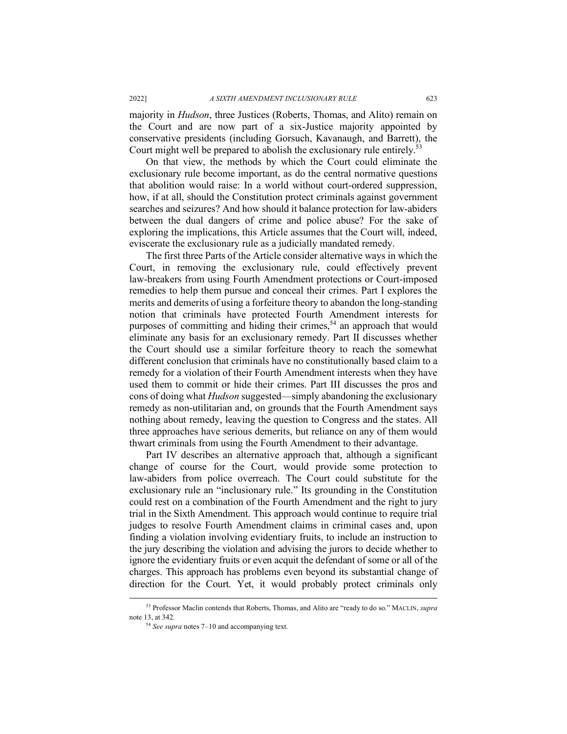majority in *Hudson*, three Justices (Roberts, Thomas, and Alito) remain on the Court and are now part of a six-Justice majority appointed by conservative presidents (including Gorsuch, Kavanaugh, and Barrett), the Court might well be prepared to abolish the exclusionary rule entirely.<sup>53</sup>

On that view, the methods by which the Court could eliminate the exclusionary rule become important, as do the central normative questions that abolition would raise: In a world without court-ordered suppression, how, if at all, should the Constitution protect criminals against government searches and seizures? And how should it balance protection for law-abiders between the dual dangers of crime and police abuse? For the sake of exploring the implications, this Article assumes that the Court will, indeed, eviscerate the exclusionary rule as a judicially mandated remedy.

The first three Parts of the Article consider alternative ways in which the Court, in removing the exclusionary rule, could effectively prevent law-breakers from using Fourth Amendment protections or Court-imposed remedies to help them pursue and conceal their crimes. Part I explores the merits and demerits of using a forfeiture theory to abandon the long-standing notion that criminals have protected Fourth Amendment interests for purposes of committing and hiding their crimes,<sup>54</sup> an approach that would eliminate any basis for an exclusionary remedy. Part II discusses whether the Court should use a similar forfeiture theory to reach the somewhat different conclusion that criminals have no constitutionally based claim to a remedy for a violation of their Fourth Amendment interests when they have used them to commit or hide their crimes. Part III discusses the pros and cons of doing what *Hudson* suggested—simply abandoning the exclusionary remedy as non-utilitarian and, on grounds that the Fourth Amendment says nothing about remedy, leaving the question to Congress and the states. All three approaches have serious demerits, but reliance on any of them would thwart criminals from using the Fourth Amendment to their advantage.

Part IV describes an alternative approach that, although a significant change of course for the Court, would provide some protection to law-abiders from police overreach. The Court could substitute for the exclusionary rule an "inclusionary rule." Its grounding in the Constitution could rest on a combination of the Fourth Amendment and the right to jury trial in the Sixth Amendment. This approach would continue to require trial judges to resolve Fourth Amendment claims in criminal cases and, upon finding a violation involving evidentiary fruits, to include an instruction to the jury describing the violation and advising the jurors to decide whether to ignore the evidentiary fruits or even acquit the defendant of some or all of the charges. This approach has problems even beyond its substantial change of direction for the Court. Yet, it would probably protect criminals only

 <sup>53</sup> Professor Maclin contends that Roberts, Thomas, and Alito are "ready to do so." MACLIN, *supra*  note 13, at 342*.* 

<sup>54</sup> *See supra* notes 7–10 and accompanying text.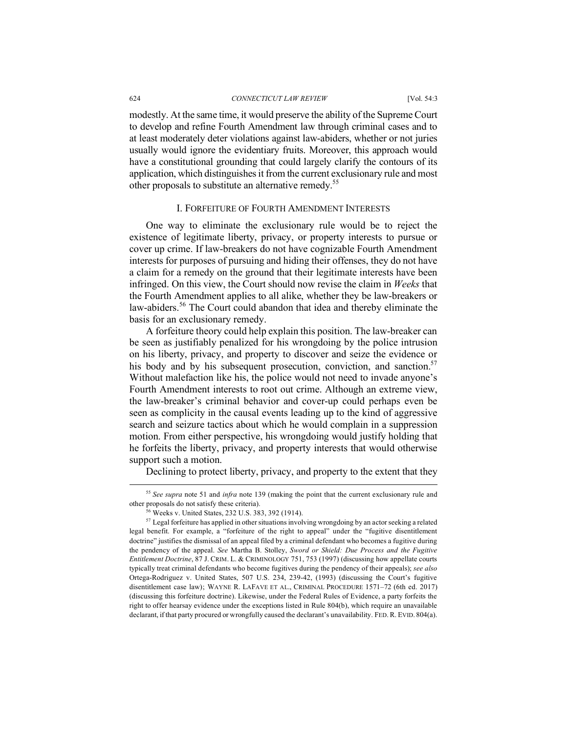modestly. At the same time, it would preserve the ability of the Supreme Court to develop and refine Fourth Amendment law through criminal cases and to at least moderately deter violations against law-abiders, whether or not juries usually would ignore the evidentiary fruits. Moreover, this approach would have a constitutional grounding that could largely clarify the contours of its application, which distinguishes it from the current exclusionary rule and most other proposals to substitute an alternative remedy.55

# I. FORFEITURE OF FOURTH AMENDMENT INTERESTS

One way to eliminate the exclusionary rule would be to reject the existence of legitimate liberty, privacy, or property interests to pursue or cover up crime. If law-breakers do not have cognizable Fourth Amendment interests for purposes of pursuing and hiding their offenses, they do not have a claim for a remedy on the ground that their legitimate interests have been infringed. On this view, the Court should now revise the claim in *Weeks* that the Fourth Amendment applies to all alike, whether they be law-breakers or law-abiders.<sup>56</sup> The Court could abandon that idea and thereby eliminate the basis for an exclusionary remedy.

A forfeiture theory could help explain this position. The law-breaker can be seen as justifiably penalized for his wrongdoing by the police intrusion on his liberty, privacy, and property to discover and seize the evidence or his body and by his subsequent prosecution, conviction, and sanction.<sup>57</sup> Without malefaction like his, the police would not need to invade anyone's Fourth Amendment interests to root out crime. Although an extreme view, the law-breaker's criminal behavior and cover-up could perhaps even be seen as complicity in the causal events leading up to the kind of aggressive search and seizure tactics about which he would complain in a suppression motion. From either perspective, his wrongdoing would justify holding that he forfeits the liberty, privacy, and property interests that would otherwise support such a motion.

Declining to protect liberty, privacy, and property to the extent that they

 <sup>55</sup> *See supra* note 51 and *infra* note <sup>139</sup> (making the point that the current exclusionary rule and other proposals do not satisfy these criteria).<br><sup>56</sup> Weeks v. United States, 232 U.S. 383, 392 (1914).

 $57$  Legal for feiture has applied in other situations involving wrongdoing by an actor seeking a related legal benefit. For example, a "forfeiture of the right to appeal" under the "fugitive disentitlement doctrine" justifies the dismissal of an appeal filed by a criminal defendant who becomes a fugitive during the pendency of the appeal. *See* Martha B. Stolley, *Sword or Shield: Due Process and the Fugitive Entitlement Doctrine*, 87 J. CRIM. L. & CRIMINOLOGY 751, 753 (1997) (discussing how appellate courts typically treat criminal defendants who become fugitives during the pendency of their appeals); *see also* Ortega-Rodriguez v. United States, 507 U.S. 234, 239-42, (1993) (discussing the Court's fugitive disentitlement case law); WAYNE R. LAFAVE ET AL., CRIMINAL PROCEDURE 1571–72 (6th ed. 2017) (discussing this forfeiture doctrine). Likewise, under the Federal Rules of Evidence, a party forfeits the right to offer hearsay evidence under the exceptions listed in Rule 804(b), which require an unavailable declarant, if that party procured or wrongfully caused the declarant's unavailability. FED. R. EVID. 804(a).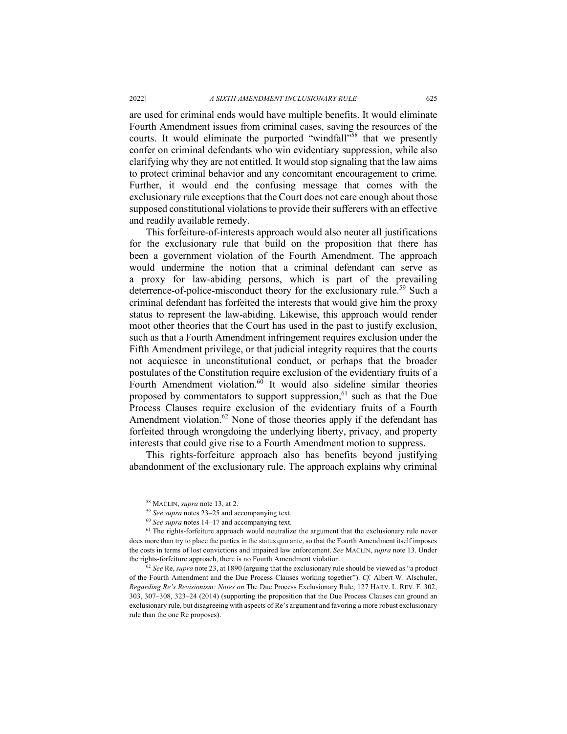are used for criminal ends would have multiple benefits. It would eliminate Fourth Amendment issues from criminal cases, saving the resources of the courts. It would eliminate the purported "windfall"<sup>58</sup> that we presently confer on criminal defendants who win evidentiary suppression, while also clarifying why they are not entitled. It would stop signaling that the law aims to protect criminal behavior and any concomitant encouragement to crime. Further, it would end the confusing message that comes with the exclusionary rule exceptions that the Court does not care enough about those supposed constitutional violations to provide their sufferers with an effective and readily available remedy.

This forfeiture-of-interests approach would also neuter all justifications for the exclusionary rule that build on the proposition that there has been a government violation of the Fourth Amendment. The approach would undermine the notion that a criminal defendant can serve as a proxy for law-abiding persons, which is part of the prevailing deterrence-of-police-misconduct theory for the exclusionary rule.<sup>59</sup> Such a criminal defendant has forfeited the interests that would give him the proxy status to represent the law-abiding. Likewise, this approach would render moot other theories that the Court has used in the past to justify exclusion, such as that a Fourth Amendment infringement requires exclusion under the Fifth Amendment privilege, or that judicial integrity requires that the courts not acquiesce in unconstitutional conduct, or perhaps that the broader postulates of the Constitution require exclusion of the evidentiary fruits of a Fourth Amendment violation. $60$  It would also sideline similar theories proposed by commentators to support suppression.<sup>61</sup> such as that the Due Process Clauses require exclusion of the evidentiary fruits of a Fourth Amendment violation.<sup>62</sup> None of those theories apply if the defendant has forfeited through wrongdoing the underlying liberty, privacy, and property interests that could give rise to a Fourth Amendment motion to suppress.

This rights-forfeiture approach also has benefits beyond justifying abandonment of the exclusionary rule. The approach explains why criminal

 <sup>58</sup> MACLIN, *supra* note 13, at 2.

<sup>59</sup> *See supra* notes 23–25 and accompanying text.

<sup>60</sup> *See supra* notes 14–17 and accompanying text.

<sup>&</sup>lt;sup>61</sup> The rights-forfeiture approach would neutralize the argument that the exclusionary rule never does more than try to place the parties in the status quo ante, so that the Fourth Amendment itself imposes the costs in terms of lost convictions and impaired law enforcement. *See* MACLIN, *supra* note 13. Under the rights-forfeiture approach, there is no Fourth Amendment violation.

<sup>62</sup> *See* Re, *supra* note 23, at 1890 (arguing that the exclusionary rule should be viewed as "a product of the Fourth Amendment and the Due Process Clauses working together"). *Cf.* Albert W. Alschuler, *Regarding Re's Revisionism: Notes on* The Due Process Exclusionary Rule, 127 HARV. L. REV. F*.* 302, 303, 307–308, 323–24 (2014) (supporting the proposition that the Due Process Clauses can ground an exclusionary rule, but disagreeing with aspects of Re's argument and favoring a more robust exclusionary rule than the one Re proposes).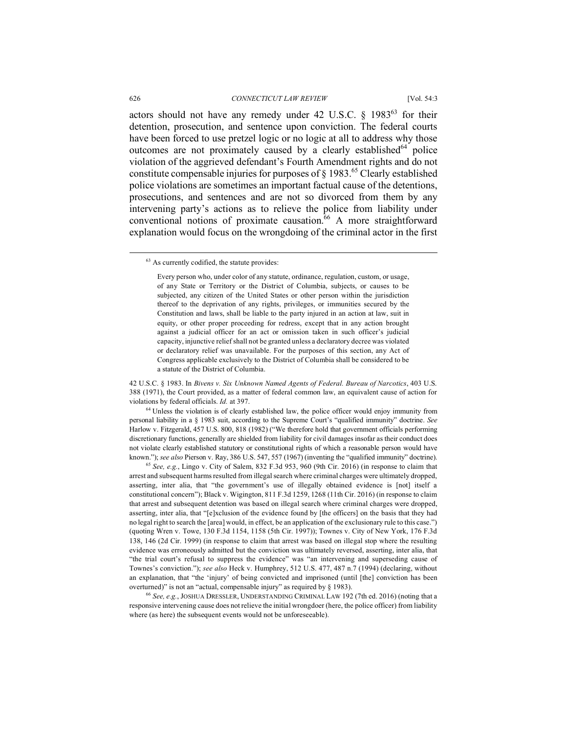actors should not have any remedy under 42 U.S.C.  $\delta$  1983<sup>63</sup> for their detention, prosecution, and sentence upon conviction. The federal courts have been forced to use pretzel logic or no logic at all to address why those outcomes are not proximately caused by a clearly established $^{64}$  police violation of the aggrieved defendant's Fourth Amendment rights and do not constitute compensable injuries for purposes of  $\S$  1983.<sup>65</sup> Clearly established police violations are sometimes an important factual cause of the detentions, prosecutions, and sentences and are not so divorced from them by any intervening party's actions as to relieve the police from liability under conventional notions of proximate causation. $66$  A more straightforward explanation would focus on the wrongdoing of the criminal actor in the first

42 U.S.C. § 1983. In *Bivens v. Six Unknown Named Agents of Federal. Bureau of Narcotics*, 403 U.S. 388 (1971), the Court provided, as a matter of federal common law, an equivalent cause of action for violations by federal officials. *Id.* at 397.

<sup>64</sup> Unless the violation is of clearly established law, the police officer would enjoy immunity from personal liability in a § 1983 suit, according to the Supreme Court's "qualified immunity" doctrine. *See*  Harlow v. Fitzgerald, 457 U.S. 800, 818 (1982) ("We therefore hold that government officials performing discretionary functions, generally are shielded from liability for civil damages insofar as their conduct does not violate clearly established statutory or constitutional rights of which a reasonable person would have known."); *see also* Pierson v. Ray, 386 U.S. 547, 557 (1967) (inventing the "qualified immunity" doctrine).

<sup>65</sup> *See, e.g.*, Lingo v. City of Salem, 832 F.3d 953, 960 (9th Cir. 2016) (in response to claim that arrest and subsequent harms resulted from illegal search where criminal charges were ultimately dropped, asserting, inter alia, that "the government's use of illegally obtained evidence is [not] itself a constitutional concern"); Black v. Wigington, 811 F.3d 1259, 1268 (11th Cir. 2016) (in response to claim that arrest and subsequent detention was based on illegal search where criminal charges were dropped, asserting, inter alia, that "[e]xclusion of the evidence found by [the officers] on the basis that they had no legal right to search the [area] would, in effect, be an application of the exclusionary rule to this case.") (quoting Wren v. Towe, 130 F.3d 1154, 1158 (5th Cir. 1997)); Townes v. City of New York, 176 F.3d 138, 146 (2d Cir. 1999) (in response to claim that arrest was based on illegal stop where the resulting evidence was erroneously admitted but the conviction was ultimately reversed, asserting, inter alia, that "the trial court's refusal to suppress the evidence" was "an intervening and superseding cause of Townes's conviction."); *see also* Heck v. Humphrey, 512 U.S. 477, 487 n.7 (1994) (declaring, without an explanation, that "the 'injury' of being convicted and imprisoned (until [the] conviction has been overturned)" is not an "actual, compensable injury" as required by § 1983).

<sup>66</sup> *See, e.g.*, JOSHUA DRESSLER, UNDERSTANDING CRIMINAL LAW 192 (7th ed. 2016) (noting that a responsive intervening cause does not relieve the initial wrongdoer (here, the police officer) from liability where (as here) the subsequent events would not be unforeseeable).

 <sup>63</sup> As currently codified, the statute provides:

Every person who, under color of any statute, ordinance, regulation, custom, or usage, of any State or Territory or the District of Columbia, subjects, or causes to be subjected, any citizen of the United States or other person within the jurisdiction thereof to the deprivation of any rights, privileges, or immunities secured by the Constitution and laws, shall be liable to the party injured in an action at law, suit in equity, or other proper proceeding for redress, except that in any action brought against a judicial officer for an act or omission taken in such officer's judicial capacity, injunctive relief shall not be granted unless a declaratory decree was violated or declaratory relief was unavailable. For the purposes of this section, any Act of Congress applicable exclusively to the District of Columbia shall be considered to be a statute of the District of Columbia.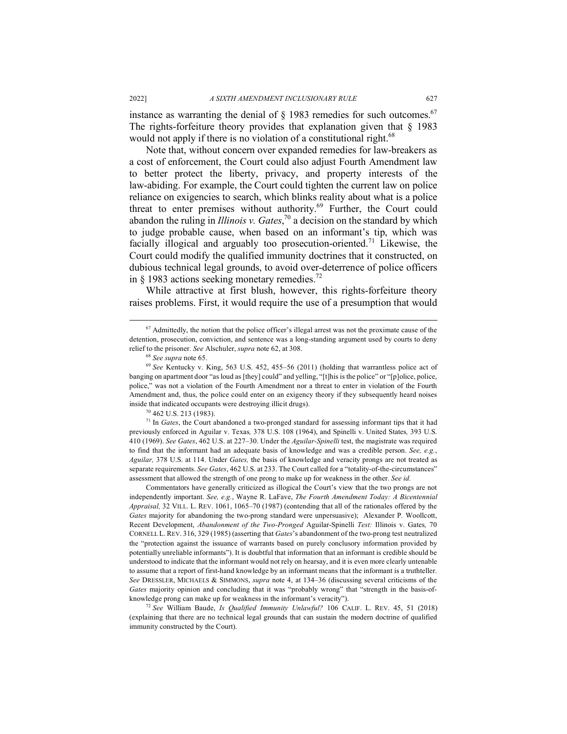instance as warranting the denial of  $\delta$  1983 remedies for such outcomes.<sup>67</sup> The rights-forfeiture theory provides that explanation given that  $\S$  1983 would not apply if there is no violation of a constitutional right.<sup>68</sup>

Note that, without concern over expanded remedies for law-breakers as a cost of enforcement, the Court could also adjust Fourth Amendment law to better protect the liberty, privacy, and property interests of the law-abiding. For example, the Court could tighten the current law on police reliance on exigencies to search, which blinks reality about what is a police threat to enter premises without authority.<sup>69</sup> Further, the Court could abandon the ruling in *Illinois v. Gates*, <sup>70</sup> a decision on the standard by which to judge probable cause, when based on an informant's tip, which was facially illogical and arguably too prosecution-oriented.<sup>71</sup> Likewise, the Court could modify the qualified immunity doctrines that it constructed, on dubious technical legal grounds, to avoid over-deterrence of police officers in  $\delta$  1983 actions seeking monetary remedies.<sup>72</sup>

While attractive at first blush, however, this rights-forfeiture theory raises problems. First, it would require the use of a presumption that would

<sup>71</sup> In *Gates*, the Court abandoned a two-pronged standard for assessing informant tips that it had previously enforced in Aguilar v. Texas*,* 378 U.S. 108 (1964), and Spinelli v. United States*,* 393 U.S. 410 (1969). *See Gates*, 462 U.S. at 227–30. Under the *Aguilar-Spinelli* test, the magistrate was required to find that the informant had an adequate basis of knowledge and was a credible person. *See, e.g.*, *Aguilar,* 378 U.S. at 114. Under *Gates,* the basis of knowledge and veracity prongs are not treated as separate requirements. *See Gates*, 462 U.S. at 233. The Court called for a "totality-of-the-circumstances" assessment that allowed the strength of one prong to make up for weakness in the other. *See id.*

Commentators have generally criticized as illogical the Court's view that the two prongs are not independently important. *See, e.g.*, Wayne R. LaFave, *The Fourth Amendment Today: A Bicentennial Appraisal,* 32 VILL. L. REV. 1061, 1065–70 (1987) (contending that all of the rationales offered by the *Gates* majority for abandoning the two-prong standard were unpersuasive); Alexander P. Woollcott, Recent Development, *Abandonment of the Two-Pronged* Aguilar-Spinelli *Test:* Illinois v. Gates*,* 70 CORNELL L. REV. 316, 329 (1985) (asserting that *Gates*'s abandonment of the two-prong test neutralized the "protection against the issuance of warrants based on purely conclusory information provided by potentially unreliable informants"). It is doubtful that information that an informant is credible should be understood to indicate that the informant would not rely on hearsay, and it is even more clearly untenable to assume that a report of first-hand knowledge by an informant means that the informant is a truthteller. *See* DRESSLER, MICHAELS & SIMMONS, *supra* note 4, at 134–36 (discussing several criticisms of the *Gates* majority opinion and concluding that it was "probably wrong" that "strength in the basis-ofknowledge prong can make up for weakness in the informant's veracity").

<sup>72</sup> *See* William Baude, *Is Qualified Immunity Unlawful?* 106 CALIF. L. REV. 45, 51 (2018) (explaining that there are no technical legal grounds that can sustain the modern doctrine of qualified immunity constructed by the Court).

<sup>&</sup>lt;sup>67</sup> Admittedly, the notion that the police officer's illegal arrest was not the proximate cause of the detention, prosecution, conviction, and sentence was a long-standing argument used by courts to deny relief to the prisoner. *See* Alschuler, *supra* note 62, at 308.

<sup>&</sup>lt;sup>68</sup> See supra note 65.<br><sup>69</sup> See Kentucky v. King, 563 U.S. 452, 455–56 (2011) (holding that warrantless police act of banging on apartment door "as loud as [they] could" and yelling, "[t]his is the police" or "[p]olice, police, police," was not a violation of the Fourth Amendment nor a threat to enter in violation of the Fourth Amendment and, thus, the police could enter on an exigency theory if they subsequently heard noises inside that indicated occupants were destroying illicit drugs).

<sup>70</sup> 462 U.S. 213 (1983).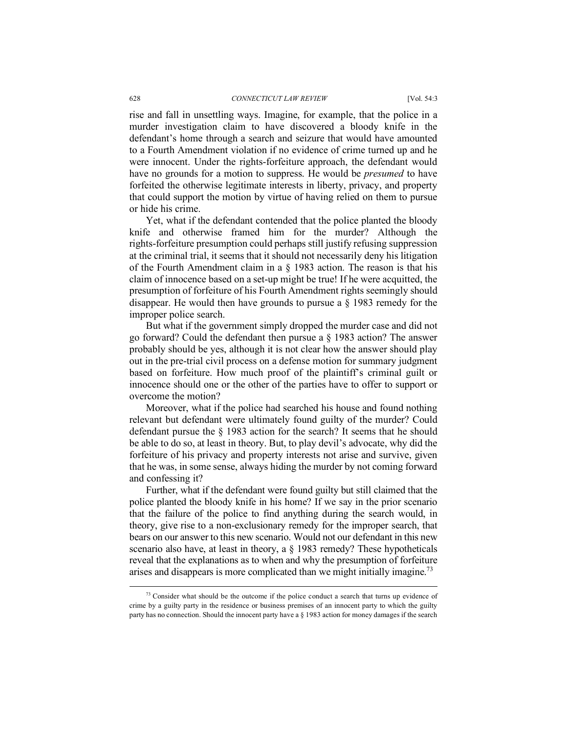#### 628 *CONNECTICUT LAW REVIEW* [Vol. 54:3

rise and fall in unsettling ways. Imagine, for example, that the police in a murder investigation claim to have discovered a bloody knife in the defendant's home through a search and seizure that would have amounted to a Fourth Amendment violation if no evidence of crime turned up and he were innocent. Under the rights-forfeiture approach, the defendant would have no grounds for a motion to suppress. He would be *presumed* to have forfeited the otherwise legitimate interests in liberty, privacy, and property that could support the motion by virtue of having relied on them to pursue or hide his crime.

Yet, what if the defendant contended that the police planted the bloody knife and otherwise framed him for the murder? Although the rights-forfeiture presumption could perhaps still justify refusing suppression at the criminal trial, it seems that it should not necessarily deny his litigation of the Fourth Amendment claim in a § 1983 action. The reason is that his claim of innocence based on a set-up might be true! If he were acquitted, the presumption of forfeiture of his Fourth Amendment rights seemingly should disappear. He would then have grounds to pursue a § 1983 remedy for the improper police search.

But what if the government simply dropped the murder case and did not go forward? Could the defendant then pursue a § 1983 action? The answer probably should be yes, although it is not clear how the answer should play out in the pre-trial civil process on a defense motion for summary judgment based on forfeiture. How much proof of the plaintiff's criminal guilt or innocence should one or the other of the parties have to offer to support or overcome the motion?

Moreover, what if the police had searched his house and found nothing relevant but defendant were ultimately found guilty of the murder? Could defendant pursue the § 1983 action for the search? It seems that he should be able to do so, at least in theory. But, to play devil's advocate, why did the forfeiture of his privacy and property interests not arise and survive, given that he was, in some sense, always hiding the murder by not coming forward and confessing it?

Further, what if the defendant were found guilty but still claimed that the police planted the bloody knife in his home? If we say in the prior scenario that the failure of the police to find anything during the search would, in theory, give rise to a non-exclusionary remedy for the improper search, that bears on our answer to this new scenario. Would not our defendant in this new scenario also have, at least in theory, a § 1983 remedy? These hypotheticals reveal that the explanations as to when and why the presumption of forfeiture arises and disappears is more complicated than we might initially imagine.<sup>73</sup>

 $73$  Consider what should be the outcome if the police conduct a search that turns up evidence of crime by a guilty party in the residence or business premises of an innocent party to which the guilty party has no connection. Should the innocent party have a § 1983 action for money damages if the search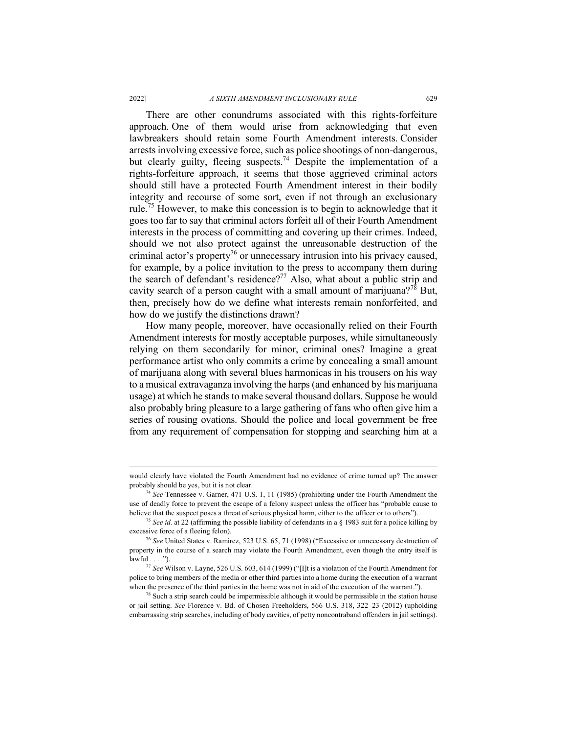There are other conundrums associated with this rights-forfeiture approach. One of them would arise from acknowledging that even lawbreakers should retain some Fourth Amendment interests. Consider arrests involving excessive force, such as police shootings of non-dangerous, but clearly guilty, fleeing suspects.<sup>74</sup> Despite the implementation of a rights-forfeiture approach, it seems that those aggrieved criminal actors should still have a protected Fourth Amendment interest in their bodily integrity and recourse of some sort, even if not through an exclusionary rule.<sup>75</sup> However, to make this concession is to begin to acknowledge that it goes too far to say that criminal actors forfeit all of their Fourth Amendment interests in the process of committing and covering up their crimes. Indeed, should we not also protect against the unreasonable destruction of the criminal actor's property<sup>76</sup> or unnecessary intrusion into his privacy caused, for example, by a police invitation to the press to accompany them during the search of defendant's residence?<sup>77</sup> Also, what about a public strip and cavity search of a person caught with a small amount of marijuana?<sup>78</sup> But, then, precisely how do we define what interests remain nonforfeited, and how do we justify the distinctions drawn?

How many people, moreover, have occasionally relied on their Fourth Amendment interests for mostly acceptable purposes, while simultaneously relying on them secondarily for minor, criminal ones? Imagine a great performance artist who only commits a crime by concealing a small amount of marijuana along with several blues harmonicas in his trousers on his way to a musical extravaganza involving the harps (and enhanced by his marijuana usage) at which he stands to make several thousand dollars. Suppose he would also probably bring pleasure to a large gathering of fans who often give him a series of rousing ovations. Should the police and local government be free from any requirement of compensation for stopping and searching him at a

would clearly have violated the Fourth Amendment had no evidence of crime turned up? The answer probably should be yes, but it is not clear.

<sup>74</sup> *See* Tennessee v. Garner, 471 U.S. 1, 11 (1985) (prohibiting under the Fourth Amendment the use of deadly force to prevent the escape of a felony suspect unless the officer has "probable cause to believe that the suspect poses a threat of serious physical harm, either to the officer or to others").

<sup>75</sup> *See id.* at 22 (affirming the possible liability of defendants in a § 1983 suit for a police killing by excessive force of a fleeing felon).

<sup>76</sup> *See* United States v. Ramirez, 523 U.S. 65, 71 (1998) ("Excessive or unnecessary destruction of property in the course of a search may violate the Fourth Amendment, even though the entry itself is  $lawful...$ ").

<sup>77</sup> *See* Wilson v. Layne, 526 U.S. 603, 614 (1999) ("[I]t is a violation of the Fourth Amendment for police to bring members of the media or other third parties into a home during the execution of a warrant when the presence of the third parties in the home was not in aid of the execution of the warrant.").

 $78$  Such a strip search could be impermissible although it would be permissible in the station house or jail setting. *See* Florence v. Bd. of Chosen Freeholders, 566 U.S. 318, 322–23 (2012) (upholding embarrassing strip searches, including of body cavities, of petty noncontraband offenders in jail settings).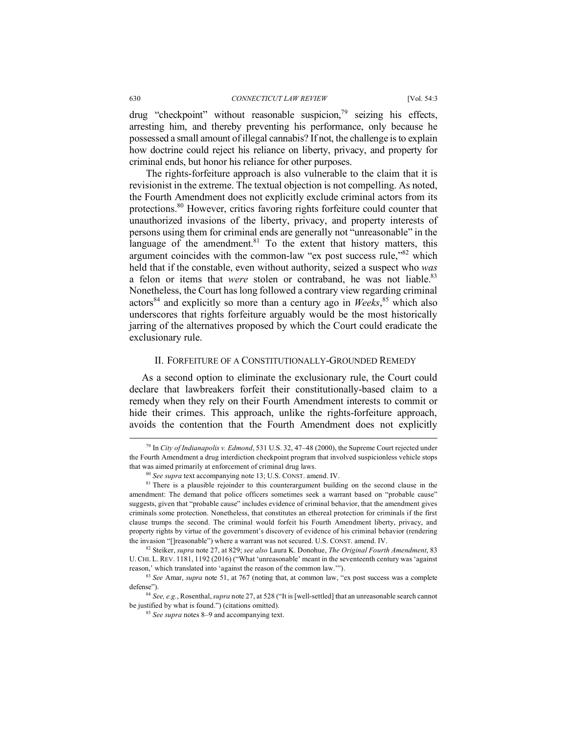drug "checkpoint" without reasonable suspicion.<sup>79</sup> seizing his effects, arresting him, and thereby preventing his performance, only because he possessed a small amount of illegal cannabis? If not, the challenge is to explain how doctrine could reject his reliance on liberty, privacy, and property for criminal ends, but honor his reliance for other purposes.

The rights-forfeiture approach is also vulnerable to the claim that it is revisionist in the extreme. The textual objection is not compelling. As noted, the Fourth Amendment does not explicitly exclude criminal actors from its protections.80 However, critics favoring rights forfeiture could counter that unauthorized invasions of the liberty, privacy, and property interests of persons using them for criminal ends are generally not "unreasonable" in the language of the amendment.<sup>81</sup> To the extent that history matters, this argument coincides with the common-law "ex post success rule,"82 which held that if the constable, even without authority, seized a suspect who *was*  a felon or items that *were* stolen or contraband, he was not liable.<sup>83</sup> Nonetheless, the Court has long followed a contrary view regarding criminal actors<sup>84</sup> and explicitly so more than a century ago in *Weeks*, <sup>85</sup> which also underscores that rights forfeiture arguably would be the most historically jarring of the alternatives proposed by which the Court could eradicate the exclusionary rule.

# II. FORFEITURE OF A CONSTITUTIONALLY-GROUNDED REMEDY

As a second option to eliminate the exclusionary rule, the Court could declare that lawbreakers forfeit their constitutionally-based claim to a remedy when they rely on their Fourth Amendment interests to commit or hide their crimes. This approach, unlike the rights-forfeiture approach, avoids the contention that the Fourth Amendment does not explicitly

 <sup>79</sup> In *City of Indianapolis v. Edmond*, 531 U.S. 32, 47–48 (2000), the Supreme Court rejected under the Fourth Amendment a drug interdiction checkpoint program that involved suspicionless vehicle stops that was aimed primarily at enforcement of criminal drug laws.

<sup>80</sup> *See supra* text accompanying note 13; U.S. CONST. amend. IV.

 $81$  There is a plausible rejoinder to this counterargument building on the second clause in the amendment: The demand that police officers sometimes seek a warrant based on "probable cause" suggests, given that "probable cause" includes evidence of criminal behavior, that the amendment gives criminals some protection. Nonetheless, that constitutes an ethereal protection for criminals if the first clause trumps the second. The criminal would forfeit his Fourth Amendment liberty, privacy, and property rights by virtue of the government's discovery of evidence of his criminal behavior (rendering the invasion "[]reasonable") where a warrant was not secured. U.S. CONST. amend. IV.

<sup>82</sup> Steiker, *supra* note 27, at 829; *see also* Laura K. Donohue, *The Original Fourth Amendment*, 83 U. CHI. L. REV. 1181, 1192 (2016) ("What 'unreasonable' meant in the seventeenth century was 'against reason,' which translated into 'against the reason of the common law.'").

<sup>83</sup> *See* Amar, *supra* note 51, at 767 (noting that, at common law, "ex post success was a complete defense").

<sup>84</sup> *See, e.g.*, Rosenthal, *supra* note 27, at 528 ("It is [well-settled] that an unreasonable search cannot be justified by what is found.") (citations omitted).

<sup>85</sup> *See supra* notes 8–9 and accompanying text.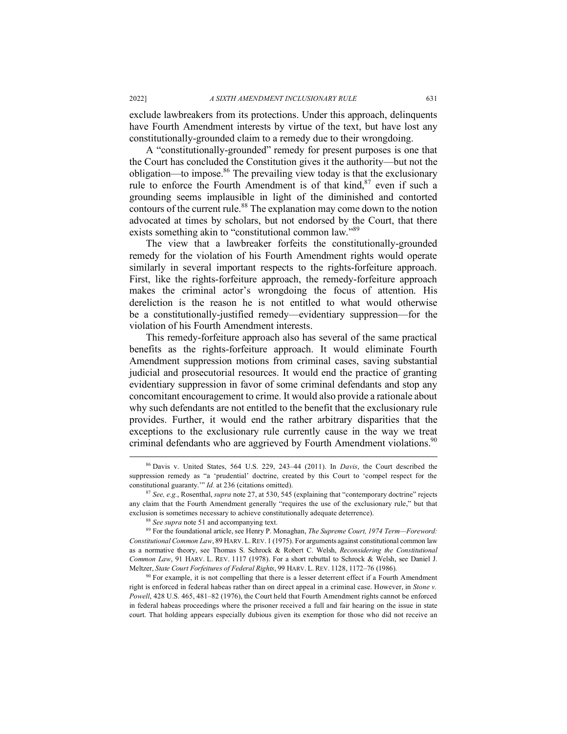exclude lawbreakers from its protections. Under this approach, delinquents have Fourth Amendment interests by virtue of the text, but have lost any constitutionally-grounded claim to a remedy due to their wrongdoing.

A "constitutionally-grounded" remedy for present purposes is one that the Court has concluded the Constitution gives it the authority—but not the obligation—to impose.<sup>86</sup> The prevailing view today is that the exclusionary rule to enforce the Fourth Amendment is of that kind,<sup>87</sup> even if such a grounding seems implausible in light of the diminished and contorted contours of the current rule. $88$  The explanation may come down to the notion advocated at times by scholars, but not endorsed by the Court, that there exists something akin to "constitutional common law."<sup>89</sup>

The view that a lawbreaker forfeits the constitutionally-grounded remedy for the violation of his Fourth Amendment rights would operate similarly in several important respects to the rights-forfeiture approach. First, like the rights-forfeiture approach, the remedy-forfeiture approach makes the criminal actor's wrongdoing the focus of attention. His dereliction is the reason he is not entitled to what would otherwise be a constitutionally-justified remedy—evidentiary suppression—for the violation of his Fourth Amendment interests.

This remedy-forfeiture approach also has several of the same practical benefits as the rights-forfeiture approach. It would eliminate Fourth Amendment suppression motions from criminal cases, saving substantial judicial and prosecutorial resources. It would end the practice of granting evidentiary suppression in favor of some criminal defendants and stop any concomitant encouragement to crime. It would also provide a rationale about why such defendants are not entitled to the benefit that the exclusionary rule provides. Further, it would end the rather arbitrary disparities that the exceptions to the exclusionary rule currently cause in the way we treat criminal defendants who are aggrieved by Fourth Amendment violations.<sup>90</sup>

<sup>88</sup> *See supra* note 51 and accompanying text.

<sup>89</sup> For the foundational article, see Henry P. Monaghan, *The Supreme Court, 1974 Term—Foreword: Constitutional Common Law*, 89 HARV.L.REV. 1 (1975). For arguments against constitutional common law as a normative theory, see Thomas S. Schrock & Robert C. Welsh, *Reconsidering the Constitutional Common Law*, 91 HARV. L. REV. 1117 (1978). For a short rebuttal to Schrock & Welsh, see Daniel J. Meltzer, *State Court Forfeitures of Federal Rights*, 99 HARV. L. REV. 1128, 1172–76 (1986).

 $90$  For example, it is not compelling that there is a lesser deterrent effect if a Fourth Amendment right is enforced in federal habeas rather than on direct appeal in a criminal case. However, in *Stone v. Powell*, 428 U.S. 465, 481–82 (1976), the Court held that Fourth Amendment rights cannot be enforced in federal habeas proceedings where the prisoner received a full and fair hearing on the issue in state court. That holding appears especially dubious given its exemption for those who did not receive an

 <sup>86</sup> Davis v. United States, 564 U.S. 229, 243–44 (2011). In *Davis*, the Court described the suppression remedy as "a 'prudential' doctrine, created by this Court to 'compel respect for the constitutional guaranty.'" *Id.* at 236 (citations omitted).

<sup>87</sup> *See, e.g.*, Rosenthal, *supra* note 27, at 530, 545 (explaining that "contemporary doctrine" rejects any claim that the Fourth Amendment generally "requires the use of the exclusionary rule," but that exclusion is sometimes necessary to achieve constitutionally adequate deterrence).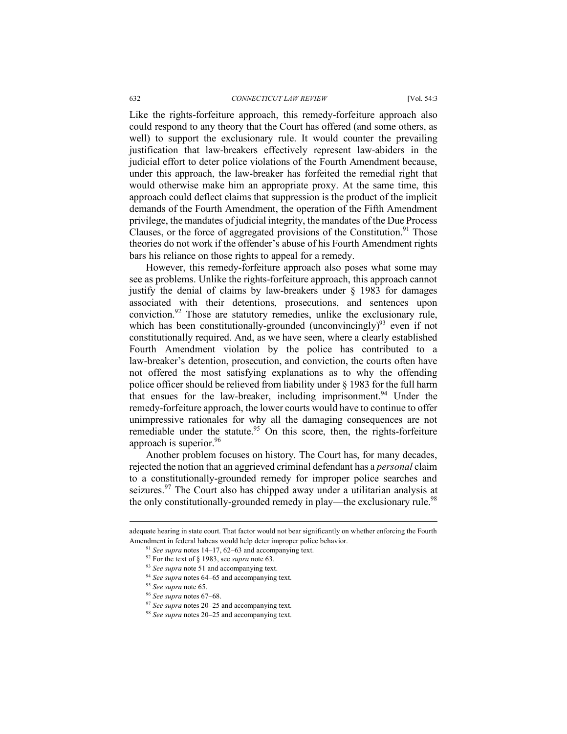Like the rights-forfeiture approach, this remedy-forfeiture approach also could respond to any theory that the Court has offered (and some others, as well) to support the exclusionary rule. It would counter the prevailing justification that law-breakers effectively represent law-abiders in the judicial effort to deter police violations of the Fourth Amendment because, under this approach, the law-breaker has forfeited the remedial right that would otherwise make him an appropriate proxy. At the same time, this approach could deflect claims that suppression is the product of the implicit demands of the Fourth Amendment, the operation of the Fifth Amendment privilege, the mandates of judicial integrity, the mandates of the Due Process Clauses, or the force of aggregated provisions of the Constitution.<sup>91</sup> Those theories do not work if the offender's abuse of his Fourth Amendment rights bars his reliance on those rights to appeal for a remedy.

However, this remedy-forfeiture approach also poses what some may see as problems. Unlike the rights-forfeiture approach, this approach cannot justify the denial of claims by law-breakers under § 1983 for damages associated with their detentions, prosecutions, and sentences upon conviction.92 Those are statutory remedies, unlike the exclusionary rule, which has been constitutionally-grounded (unconvincingly)<sup>93</sup> even if not constitutionally required. And, as we have seen, where a clearly established Fourth Amendment violation by the police has contributed to a law-breaker's detention, prosecution, and conviction, the courts often have not offered the most satisfying explanations as to why the offending police officer should be relieved from liability under § 1983 for the full harm that ensues for the law-breaker, including imprisonment. <sup>94</sup> Under the remedy-forfeiture approach, the lower courts would have to continue to offer unimpressive rationales for why all the damaging consequences are not remediable under the statute.<sup>95</sup> On this score, then, the rights-forfeiture approach is superior.<sup>96</sup>

Another problem focuses on history. The Court has, for many decades, rejected the notion that an aggrieved criminal defendant has a *personal* claim to a constitutionally-grounded remedy for improper police searches and seizures.<sup>97</sup> The Court also has chipped away under a utilitarian analysis at the only constitutionally-grounded remedy in play—the exclusionary rule.<sup>98</sup>

adequate hearing in state court. That factor would not bear significantly on whether enforcing the Fourth Amendment in federal habeas would help deter improper police behavior.<br><sup>91</sup> *See supra* notes 14–17, 62–63 and accompanying text.

<sup>92</sup> For the text of § 1983, see *supra* note 63.

<sup>93</sup> *See supra* note 51 and accompanying text.

<sup>94</sup> *See supra* notes 64–65 and accompanying text.

<sup>95</sup> *See supra* note 65.

<sup>96</sup> *See supra* notes 67–68.

<sup>97</sup> *See supra* notes 20–25 and accompanying text.

<sup>98</sup> *See supra* notes 20–25 and accompanying text.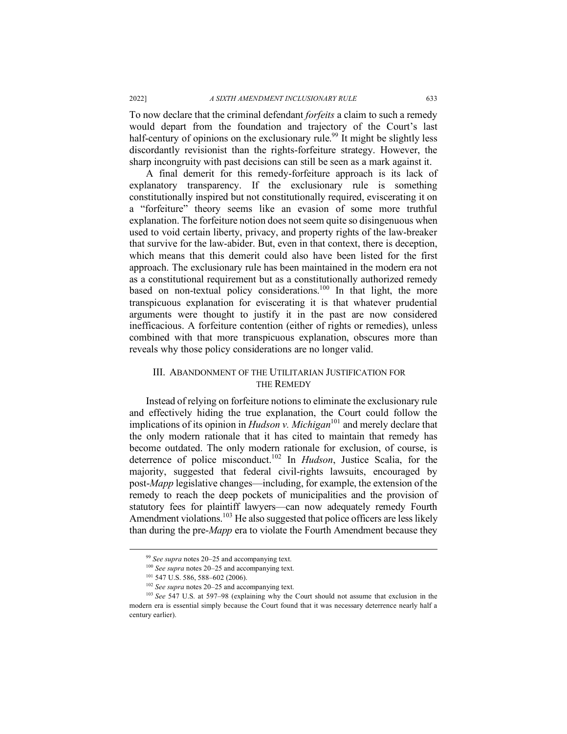To now declare that the criminal defendant *forfeits* a claim to such a remedy would depart from the foundation and trajectory of the Court's last half-century of opinions on the exclusionary rule.<sup>99</sup> It might be slightly less discordantly revisionist than the rights-forfeiture strategy. However, the sharp incongruity with past decisions can still be seen as a mark against it.

A final demerit for this remedy-forfeiture approach is its lack of explanatory transparency. If the exclusionary rule is something constitutionally inspired but not constitutionally required, eviscerating it on a "forfeiture" theory seems like an evasion of some more truthful explanation. The forfeiture notion does not seem quite so disingenuous when used to void certain liberty, privacy, and property rights of the law-breaker that survive for the law-abider. But, even in that context, there is deception, which means that this demerit could also have been listed for the first approach. The exclusionary rule has been maintained in the modern era not as a constitutional requirement but as a constitutionally authorized remedy based on non-textual policy considerations.<sup>100</sup> In that light, the more transpicuous explanation for eviscerating it is that whatever prudential arguments were thought to justify it in the past are now considered inefficacious. A forfeiture contention (either of rights or remedies), unless combined with that more transpicuous explanation, obscures more than reveals why those policy considerations are no longer valid.

# III. ABANDONMENT OF THE UTILITARIAN JUSTIFICATION FOR THE REMEDY

Instead of relying on forfeiture notions to eliminate the exclusionary rule and effectively hiding the true explanation, the Court could follow the implications of its opinion in *Hudson v. Michigan*<sup>101</sup> and merely declare that the only modern rationale that it has cited to maintain that remedy has become outdated. The only modern rationale for exclusion, of course, is deterrence of police misconduct.102 In *Hudson*, Justice Scalia, for the majority, suggested that federal civil-rights lawsuits, encouraged by post-*Mapp* legislative changes—including, for example, the extension of the remedy to reach the deep pockets of municipalities and the provision of statutory fees for plaintiff lawyers—can now adequately remedy Fourth Amendment violations.<sup>103</sup> He also suggested that police officers are less likely than during the pre-*Mapp* era to violate the Fourth Amendment because they

 <sup>99</sup> *See supra* notes 20–25 and accompanying text.

<sup>100</sup> *See supra* notes 20–25 and accompanying text.<br><sup>101</sup> 547 U.S. 586, 588–602 (2006).<br><sup>102</sup> *See supra* notes 20–25 and accompanying text.

<sup>&</sup>lt;sup>103</sup> *See* 547 U.S. at 597–98 (explaining why the Court should not assume that exclusion in the modern era is essential simply because the Court found that it was necessary deterrence nearly half a century earlier).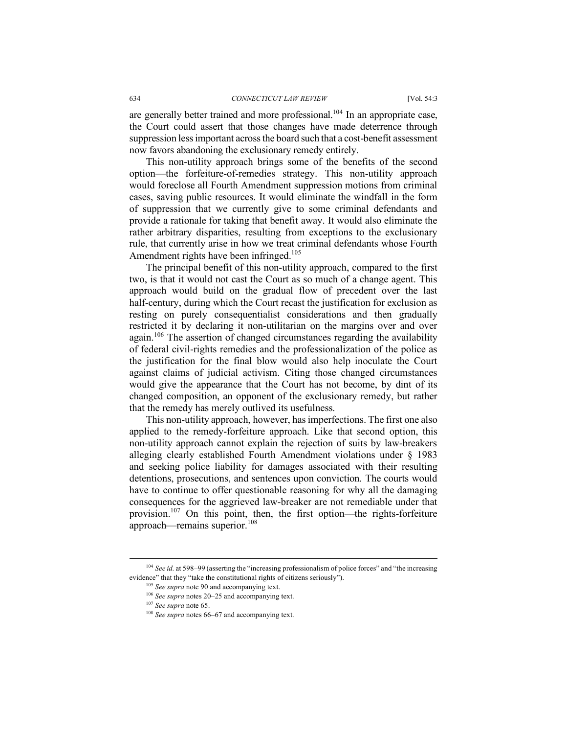are generally better trained and more professional.<sup>104</sup> In an appropriate case, the Court could assert that those changes have made deterrence through suppression less important across the board such that a cost-benefit assessment now favors abandoning the exclusionary remedy entirely.

This non-utility approach brings some of the benefits of the second option—the forfeiture-of-remedies strategy. This non-utility approach would foreclose all Fourth Amendment suppression motions from criminal cases, saving public resources. It would eliminate the windfall in the form of suppression that we currently give to some criminal defendants and provide a rationale for taking that benefit away. It would also eliminate the rather arbitrary disparities, resulting from exceptions to the exclusionary rule, that currently arise in how we treat criminal defendants whose Fourth Amendment rights have been infringed.<sup>105</sup>

The principal benefit of this non-utility approach, compared to the first two, is that it would not cast the Court as so much of a change agent. This approach would build on the gradual flow of precedent over the last half-century, during which the Court recast the justification for exclusion as resting on purely consequentialist considerations and then gradually restricted it by declaring it non-utilitarian on the margins over and over again.<sup>106</sup> The assertion of changed circumstances regarding the availability of federal civil-rights remedies and the professionalization of the police as the justification for the final blow would also help inoculate the Court against claims of judicial activism. Citing those changed circumstances would give the appearance that the Court has not become, by dint of its changed composition, an opponent of the exclusionary remedy, but rather that the remedy has merely outlived its usefulness.

This non-utility approach, however, has imperfections. The first one also applied to the remedy-forfeiture approach. Like that second option, this non-utility approach cannot explain the rejection of suits by law-breakers alleging clearly established Fourth Amendment violations under § 1983 and seeking police liability for damages associated with their resulting detentions, prosecutions, and sentences upon conviction. The courts would have to continue to offer questionable reasoning for why all the damaging consequences for the aggrieved law-breaker are not remediable under that provision.107 On this point, then, the first option—the rights-forfeiture approach—remains superior.<sup>108</sup>

 <sup>104</sup> *See id.* at 598–99 (asserting the "increasing professionalism of police forces" and "the increasing evidence" that they "take the constitutional rights of citizens seriously").

<sup>105</sup> *See supra* note 90 and accompanying text.

<sup>106</sup> *See supra* notes 20–25 and accompanying text.

<sup>107</sup> *See supra* note 65.

<sup>108</sup> *See supra* notes 66–67 and accompanying text.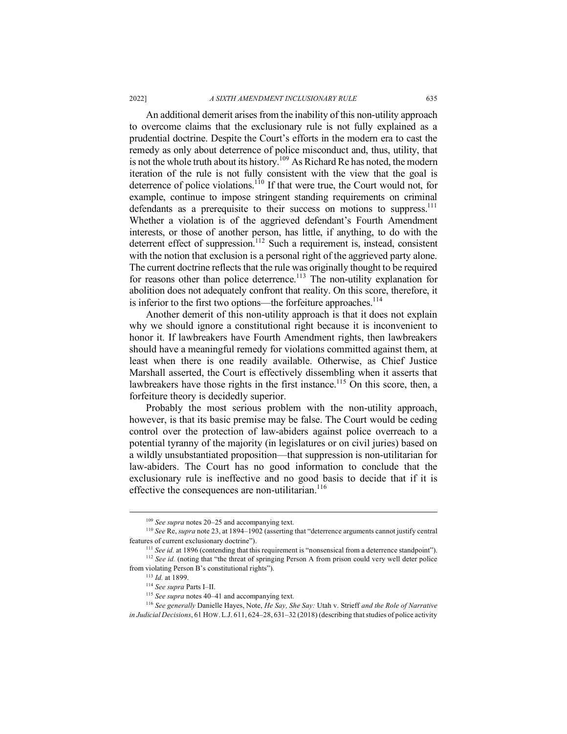An additional demerit arises from the inability of this non-utility approach to overcome claims that the exclusionary rule is not fully explained as a prudential doctrine. Despite the Court's efforts in the modern era to cast the remedy as only about deterrence of police misconduct and, thus, utility, that is not the whole truth about its history.<sup>109</sup> As Richard Re has noted, the modern iteration of the rule is not fully consistent with the view that the goal is deterrence of police violations.110 If that were true, the Court would not, for example, continue to impose stringent standing requirements on criminal defendants as a prerequisite to their success on motions to suppress.<sup>111</sup> Whether a violation is of the aggrieved defendant's Fourth Amendment interests, or those of another person, has little, if anything, to do with the deterrent effect of suppression.<sup>112</sup> Such a requirement is, instead, consistent with the notion that exclusion is a personal right of the aggrieved party alone. The current doctrine reflects that the rule was originally thought to be required for reasons other than police deterrence.<sup>113</sup> The non-utility explanation for abolition does not adequately confront that reality. On this score, therefore, it is inferior to the first two options—the forfeiture approaches.<sup>114</sup>

Another demerit of this non-utility approach is that it does not explain why we should ignore a constitutional right because it is inconvenient to honor it. If lawbreakers have Fourth Amendment rights, then lawbreakers should have a meaningful remedy for violations committed against them, at least when there is one readily available. Otherwise, as Chief Justice Marshall asserted, the Court is effectively dissembling when it asserts that lawbreakers have those rights in the first instance.<sup>115</sup> On this score, then, a forfeiture theory is decidedly superior.

Probably the most serious problem with the non-utility approach, however, is that its basic premise may be false. The Court would be ceding control over the protection of law-abiders against police overreach to a potential tyranny of the majority (in legislatures or on civil juries) based on a wildly unsubstantiated proposition—that suppression is non-utilitarian for law-abiders. The Court has no good information to conclude that the exclusionary rule is ineffective and no good basis to decide that if it is effective the consequences are non-utilitarian.<sup>116</sup>

<sup>&</sup>lt;sup>109</sup> *See supra* notes 20–25 and accompanying text.<br><sup>110</sup> *See* Re, *supra* note 23, at 1894–1902 (asserting that "deterrence arguments cannot justify central features of current exclusionary doctrine").

<sup>&</sup>lt;sup>111</sup> *See id.* at 1896 (contending that this requirement is "nonsensical from a deterrence standpoint").

<sup>&</sup>lt;sup>112</sup> See id. (noting that "the threat of springing Person A from prison could very well deter police from violating Person B's constitutional rights").

<sup>113</sup> *Id.* at 1899.

<sup>114</sup> *See supra* Parts I–II.

<sup>115</sup> *See supra* notes 40–41 and accompanying text.

<sup>116</sup> *See generally* Danielle Hayes, Note, *He Say, She Say:* Utah v. Strieff *and the Role of Narrative in Judicial Decisions*, 61 HOW.L.J. 611, 624–28, 631–32 (2018) (describing that studies of police activity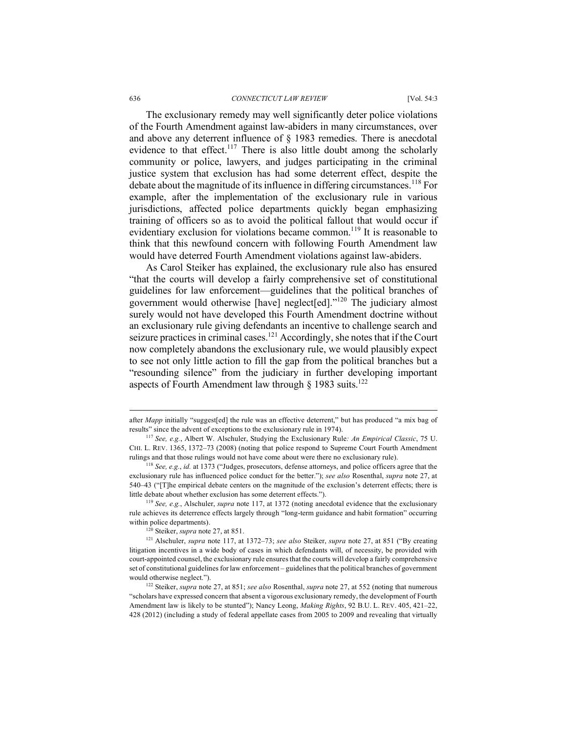#### 636 *CONNECTICUT LAW REVIEW* [Vol. 54:3

The exclusionary remedy may well significantly deter police violations of the Fourth Amendment against law-abiders in many circumstances, over and above any deterrent influence of § 1983 remedies. There is anecdotal evidence to that effect.<sup>117</sup> There is also little doubt among the scholarly community or police, lawyers, and judges participating in the criminal justice system that exclusion has had some deterrent effect, despite the debate about the magnitude of its influence in differing circumstances.<sup>118</sup> For example, after the implementation of the exclusionary rule in various jurisdictions, affected police departments quickly began emphasizing training of officers so as to avoid the political fallout that would occur if evidentiary exclusion for violations became common.<sup>119</sup> It is reasonable to think that this newfound concern with following Fourth Amendment law would have deterred Fourth Amendment violations against law-abiders.

As Carol Steiker has explained, the exclusionary rule also has ensured "that the courts will develop a fairly comprehensive set of constitutional guidelines for law enforcement—guidelines that the political branches of government would otherwise [have] neglect[ed]."<sup>120</sup> The judiciary almost surely would not have developed this Fourth Amendment doctrine without an exclusionary rule giving defendants an incentive to challenge search and seizure practices in criminal cases.<sup>121</sup> Accordingly, she notes that if the Court now completely abandons the exclusionary rule, we would plausibly expect to see not only little action to fill the gap from the political branches but a "resounding silence" from the judiciary in further developing important aspects of Fourth Amendment law through  $\frac{1}{2}$  1983 suits.<sup>122</sup>

after *Mapp* initially "suggest[ed] the rule was an effective deterrent," but has produced "a mix bag of results" since the advent of exceptions to the exclusionary rule in 1974).

<sup>117</sup> *See, e.g.*, Albert W. Alschuler, Studying the Exclusionary Rule*: An Empirical Classic*, 75 U. CHI. L. REV. 1365, 1372–73 (2008) (noting that police respond to Supreme Court Fourth Amendment rulings and that those rulings would not have come about were there no exclusionary rule).

<sup>118</sup> *See, e.g.*, *id.* at 1373 ("Judges, prosecutors, defense attorneys, and police officers agree that the exclusionary rule has influenced police conduct for the better."); *see also* Rosenthal, *supra* note 27, at 540–43 ("[T]he empirical debate centers on the magnitude of the exclusion's deterrent effects; there is little debate about whether exclusion has some deterrent effects.").

<sup>119</sup> *See, e.g.*, Alschuler, *supra* note 117, at 1372 (noting anecdotal evidence that the exclusionary rule achieves its deterrence effects largely through "long-term guidance and habit formation" occurring within police departments).

<sup>120</sup> Steiker, *supra* note 27, at 851.

<sup>121</sup> Alschuler, *supra* note 117, at 1372–73; *see also* Steiker, *supra* note 27, at 851 ("By creating litigation incentives in a wide body of cases in which defendants will, of necessity, be provided with court-appointed counsel, the exclusionary rule ensures that the courts will develop a fairly comprehensive set of constitutional guidelines for law enforcement – guidelines that the political branches of government would otherwise neglect.").

<sup>122</sup> Steiker, *supra* note 27, at 851; *see also* Rosenthal, *supra* note 27, at 552 (noting that numerous "scholars have expressed concern that absent a vigorous exclusionary remedy, the development of Fourth Amendment law is likely to be stunted"); Nancy Leong, *Making Rights*, 92 B.U. L. REV. 405, 421–22, 428 (2012) (including a study of federal appellate cases from 2005 to 2009 and revealing that virtually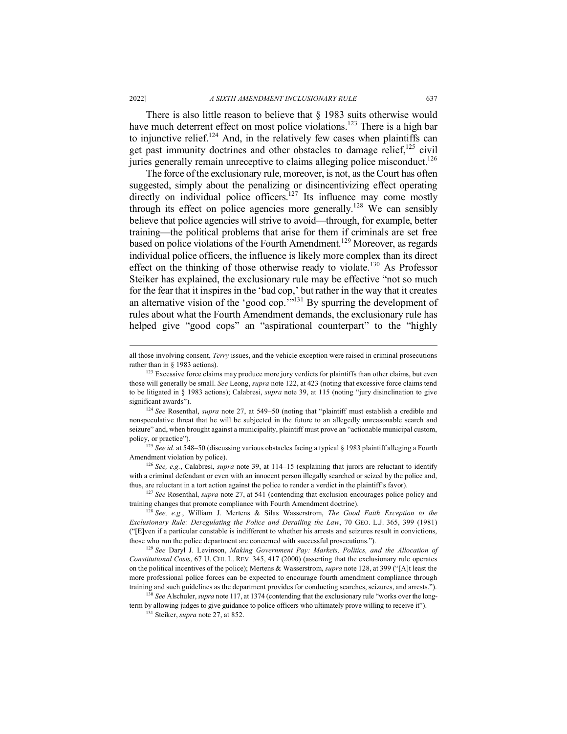There is also little reason to believe that § 1983 suits otherwise would have much deterrent effect on most police violations.<sup>123</sup> There is a high bar to injunctive relief.<sup>124</sup> And, in the relatively few cases when plaintiffs can get past immunity doctrines and other obstacles to damage relief,<sup>125</sup> civil juries generally remain unreceptive to claims alleging police misconduct.<sup>126</sup>

The force of the exclusionary rule, moreover, is not, as the Court has often suggested, simply about the penalizing or disincentivizing effect operating directly on individual police officers.<sup>127</sup> Its influence may come mostly through its effect on police agencies more generally.<sup>128</sup> We can sensibly believe that police agencies will strive to avoid—through, for example, better training—the political problems that arise for them if criminals are set free based on police violations of the Fourth Amendment.<sup>129</sup> Moreover, as regards individual police officers, the influence is likely more complex than its direct effect on the thinking of those otherwise ready to violate.<sup>130</sup> As Professor Steiker has explained, the exclusionary rule may be effective "not so much for the fear that it inspires in the 'bad cop,' but rather in the way that it creates an alternative vision of the 'good cop.<sup>279131</sup> By spurring the development of rules about what the Fourth Amendment demands, the exclusionary rule has helped give "good cops" an "aspirational counterpart" to the "highly

all those involving consent, *Terry* issues, and the vehicle exception were raised in criminal prosecutions rather than in § 1983 actions).

<sup>&</sup>lt;sup>123</sup> Excessive force claims may produce more jury verdicts for plaintiffs than other claims, but even those will generally be small. *See* Leong, *supra* note 122, at 423 (noting that excessive force claims tend to be litigated in § 1983 actions); Calabresi, *supra* note 39, at 115 (noting "jury disinclination to give significant awards").

<sup>124</sup> *See* Rosenthal, *supra* note 27, at 549–50 (noting that "plaintiff must establish a credible and nonspeculative threat that he will be subjected in the future to an allegedly unreasonable search and seizure" and, when brought against a municipality, plaintiff must prove an "actionable municipal custom, policy, or practice").

<sup>&</sup>lt;sup>125</sup> See id. at 548–50 (discussing various obstacles facing a typical § 1983 plaintiff alleging a Fourth Amendment violation by police).

<sup>126</sup> *See, e.g.*, Calabresi, *supra* note 39, at 114–15 (explaining that jurors are reluctant to identify with a criminal defendant or even with an innocent person illegally searched or seized by the police and, thus, are reluctant in a tort action against the police to render a verdict in the plaintiff's favor).

<sup>127</sup> *See* Rosenthal, *supra* note 27, at 541 (contending that exclusion encourages police policy and training changes that promote compliance with Fourth Amendment doctrine).

<sup>128</sup> *See, e.g.*, William J. Mertens & Silas Wasserstrom, *The Good Faith Exception to the Exclusionary Rule: Deregulating the Police and Derailing the Law*, 70 GEO. L.J. 365, 399 (1981) ("[E]ven if a particular constable is indifferent to whether his arrests and seizures result in convictions, those who run the police department are concerned with successful prosecutions."). 129 *See* Daryl J. Levinson, *Making Government Pay: Markets, Politics, and the Allocation of* 

*Constitutional Costs*, 67 U. CHI. L. REV. 345, 417 (2000) (asserting that the exclusionary rule operates on the political incentives of the police); Mertens & Wasserstrom, *supra* note 128, at 399 ("[A]t least the more professional police forces can be expected to encourage fourth amendment compliance through training and such guidelines as the department provides for conducting searches, seizures, and arrests."). 130 *See* Alschuler, *supra* note 117, at 1374 (contending that the exclusionary rule "works over the long-

term by allowing judges to give guidance to police officers who ultimately prove willing to receive it").

<sup>131</sup> Steiker, *supra* note 27, at 852.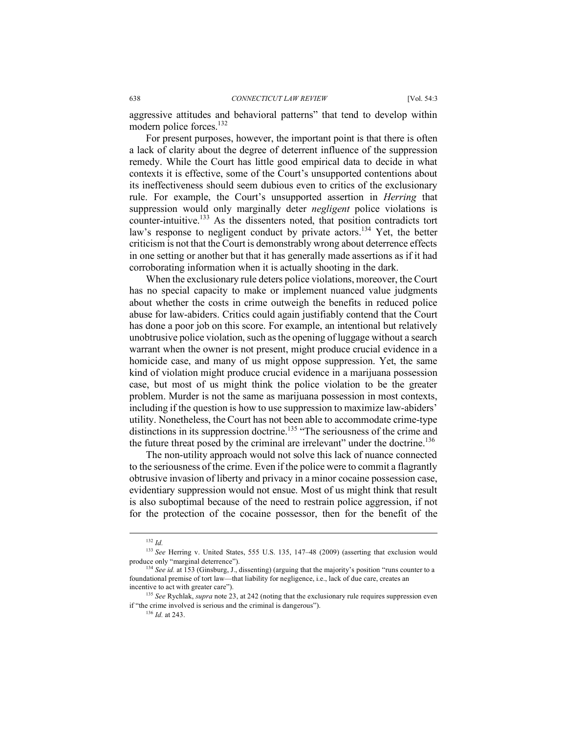aggressive attitudes and behavioral patterns" that tend to develop within modern police forces.<sup>132</sup>

For present purposes, however, the important point is that there is often a lack of clarity about the degree of deterrent influence of the suppression remedy. While the Court has little good empirical data to decide in what contexts it is effective, some of the Court's unsupported contentions about its ineffectiveness should seem dubious even to critics of the exclusionary rule. For example, the Court's unsupported assertion in *Herring* that suppression would only marginally deter *negligent* police violations is counter-intuitive.<sup>133</sup> As the dissenters noted, that position contradicts tort law's response to negligent conduct by private actors.<sup>134</sup> Yet, the better criticism is not that the Court is demonstrably wrong about deterrence effects in one setting or another but that it has generally made assertions as if it had corroborating information when it is actually shooting in the dark.

When the exclusionary rule deters police violations, moreover, the Court has no special capacity to make or implement nuanced value judgments about whether the costs in crime outweigh the benefits in reduced police abuse for law-abiders. Critics could again justifiably contend that the Court has done a poor job on this score. For example, an intentional but relatively unobtrusive police violation, such as the opening of luggage without a search warrant when the owner is not present, might produce crucial evidence in a homicide case, and many of us might oppose suppression. Yet, the same kind of violation might produce crucial evidence in a marijuana possession case, but most of us might think the police violation to be the greater problem. Murder is not the same as marijuana possession in most contexts, including if the question is how to use suppression to maximize law-abiders' utility. Nonetheless, the Court has not been able to accommodate crime-type distinctions in its suppression doctrine.<sup>135</sup> "The seriousness of the crime and the future threat posed by the criminal are irrelevant" under the doctrine.<sup>136</sup>

The non-utility approach would not solve this lack of nuance connected to the seriousness of the crime. Even if the police were to commit a flagrantly obtrusive invasion of liberty and privacy in a minor cocaine possession case, evidentiary suppression would not ensue. Most of us might think that result is also suboptimal because of the need to restrain police aggression, if not for the protection of the cocaine possessor, then for the benefit of the

 <sup>132</sup> *Id.*

<sup>133</sup> *See* Herring v. United States, 555 U.S. 135, 147–48 (2009) (asserting that exclusion would produce only "marginal deterrence").

<sup>&</sup>lt;sup>134</sup> See id. at 153 (Ginsburg, J., dissenting) (arguing that the majority's position "runs counter to a foundational premise of tort law—that liability for negligence, i.e., lack of due care, creates an incentive to act with greater care").

<sup>135</sup> *See* Rychlak, *supra* note 23, at 242 (noting that the exclusionary rule requires suppression even if "the crime involved is serious and the criminal is dangerous").

<sup>136</sup> *Id.* at 243.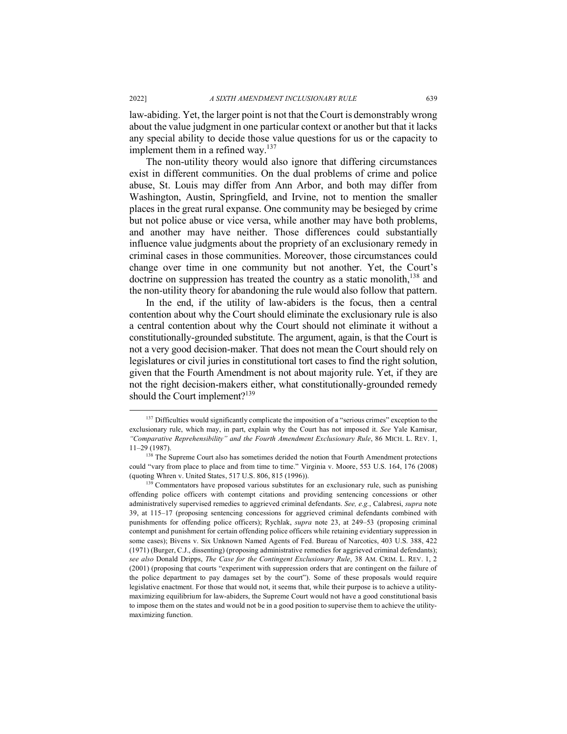law-abiding. Yet, the larger point is not that the Court is demonstrably wrong about the value judgment in one particular context or another but that it lacks any special ability to decide those value questions for us or the capacity to implement them in a refined way. $137$ 

The non-utility theory would also ignore that differing circumstances exist in different communities. On the dual problems of crime and police abuse, St. Louis may differ from Ann Arbor, and both may differ from Washington, Austin, Springfield, and Irvine, not to mention the smaller places in the great rural expanse. One community may be besieged by crime but not police abuse or vice versa, while another may have both problems, and another may have neither. Those differences could substantially influence value judgments about the propriety of an exclusionary remedy in criminal cases in those communities. Moreover, those circumstances could change over time in one community but not another. Yet, the Court's doctrine on suppression has treated the country as a static monolith,<sup>138</sup> and the non-utility theory for abandoning the rule would also follow that pattern.

In the end, if the utility of law-abiders is the focus, then a central contention about why the Court should eliminate the exclusionary rule is also a central contention about why the Court should not eliminate it without a constitutionally-grounded substitute. The argument, again, is that the Court is not a very good decision-maker. That does not mean the Court should rely on legislatures or civil juries in constitutional tort cases to find the right solution, given that the Fourth Amendment is not about majority rule. Yet, if they are not the right decision-makers either, what constitutionally-grounded remedy should the Court implement?<sup>139</sup>

<sup>&</sup>lt;sup>137</sup> Difficulties would significantly complicate the imposition of a "serious crimes" exception to the exclusionary rule, which may, in part, explain why the Court has not imposed it. *See* Yale Kamisar, *"Comparative Reprehensibility" and the Fourth Amendment Exclusionary Rule*, 86 MICH. L. REV. 1,  $11–29$  (1987).<br><sup>138</sup> The Supreme Court also has sometimes derided the notion that Fourth Amendment protections

could "vary from place to place and from time to time." Virginia v. Moore, 553 U.S. 164, 176 (2008) (quoting Whren v. United States, 517 U.S. 806, 815 (1996)).

<sup>&</sup>lt;sup>139</sup> Commentators have proposed various substitutes for an exclusionary rule, such as punishing offending police officers with contempt citations and providing sentencing concessions or other administratively supervised remedies to aggrieved criminal defendants. *See, e.g.*, Calabresi, *supra* note 39, at 115–17 (proposing sentencing concessions for aggrieved criminal defendants combined with punishments for offending police officers); Rychlak, *supra* note 23, at 249–53 (proposing criminal contempt and punishment for certain offending police officers while retaining evidentiary suppression in some cases); Bivens v. Six Unknown Named Agents of Fed. Bureau of Narcotics, 403 U.S. 388, 422 (1971) (Burger, C.J., dissenting) (proposing administrative remedies for aggrieved criminal defendants); *see also* Donald Dripps, *The Case for the Contingent Exclusionary Rule*, 38 AM. CRIM. L. REV. 1, 2 (2001) (proposing that courts "experiment with suppression orders that are contingent on the failure of the police department to pay damages set by the court"). Some of these proposals would require legislative enactment. For those that would not, it seems that, while their purpose is to achieve a utilitymaximizing equilibrium for law-abiders, the Supreme Court would not have a good constitutional basis to impose them on the states and would not be in a good position to supervise them to achieve the utilitymaximizing function.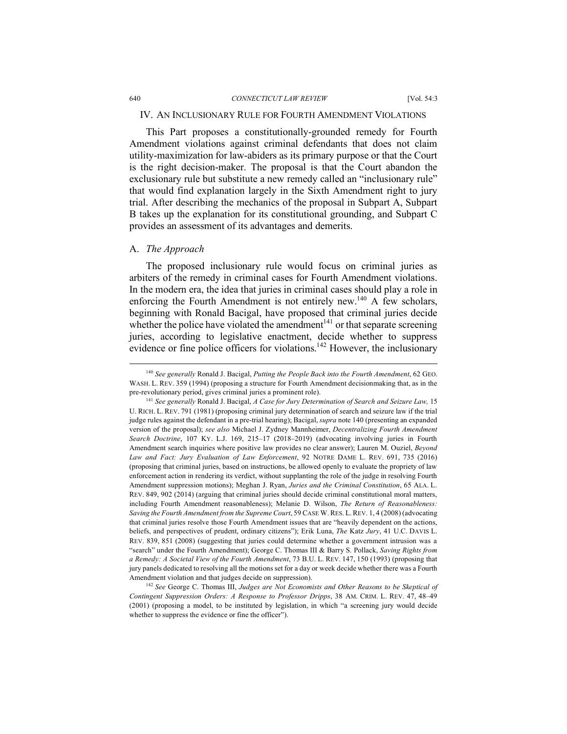## IV. AN INCLUSIONARY RULE FOR FOURTH AMENDMENT VIOLATIONS

This Part proposes a constitutionally-grounded remedy for Fourth Amendment violations against criminal defendants that does not claim utility-maximization for law-abiders as its primary purpose or that the Court is the right decision-maker. The proposal is that the Court abandon the exclusionary rule but substitute a new remedy called an "inclusionary rule" that would find explanation largely in the Sixth Amendment right to jury trial. After describing the mechanics of the proposal in Subpart A, Subpart B takes up the explanation for its constitutional grounding, and Subpart C provides an assessment of its advantages and demerits.

### A. *The Approach*

The proposed inclusionary rule would focus on criminal juries as arbiters of the remedy in criminal cases for Fourth Amendment violations. In the modern era, the idea that juries in criminal cases should play a role in enforcing the Fourth Amendment is not entirely new.<sup>140</sup> A few scholars, beginning with Ronald Bacigal, have proposed that criminal juries decide whether the police have violated the amendment<sup> $141$ </sup> or that separate screening juries, according to legislative enactment, decide whether to suppress evidence or fine police officers for violations.<sup>142</sup> However, the inclusionary

<sup>142</sup> *See* George C. Thomas III, *Judges are Not Economists and Other Reasons to be Skeptical of Contingent Suppression Orders: A Response to Professor Dripps*, 38 AM. CRIM. L. REV. 47, 48–49 (2001) (proposing a model, to be instituted by legislation, in which "a screening jury would decide whether to suppress the evidence or fine the officer").

 <sup>140</sup> *See generally* Ronald J. Bacigal, *Putting the People Back into the Fourth Amendment*, 62 GEO. WASH. L. REV. 359 (1994) (proposing a structure for Fourth Amendment decisionmaking that, as in the pre-revolutionary period, gives criminal juries a prominent role).

<sup>141</sup> *See generally* Ronald J. Bacigal, *A Case for Jury Determination of Search and Seizure Law,* 15 U. RICH. L. REV. 791 (1981) (proposing criminal jury determination of search and seizure law if the trial judge rules against the defendant in a pre-trial hearing); Bacigal, *supra* note 140 (presenting an expanded version of the proposal); *see also* Michael J. Zydney Mannheimer, *Decentralizing Fourth Amendment Search Doctrine*, 107 KY. L.J. 169, 215–17 (2018–2019) (advocating involving juries in Fourth Amendment search inquiries where positive law provides no clear answer); Lauren M. Ouziel, *Beyond Law and Fact: Jury Evaluation of Law Enforcement*, 92 NOTRE DAME L. REV. 691, 735 (2016) (proposing that criminal juries, based on instructions, be allowed openly to evaluate the propriety of law enforcement action in rendering its verdict, without supplanting the role of the judge in resolving Fourth Amendment suppression motions); Meghan J. Ryan, *Juries and the Criminal Constitution*, 65 ALA. L. REV. 849, 902 (2014) (arguing that criminal juries should decide criminal constitutional moral matters, including Fourth Amendment reasonableness); Melanie D. Wilson, *The Return of Reasonableness: Saving the Fourth Amendment from the Supreme Court*, 59 CASE W. RES. L.REV. 1, 4 (2008) (advocating that criminal juries resolve those Fourth Amendment issues that are "heavily dependent on the actions, beliefs, and perspectives of prudent, ordinary citizens"); Erik Luna, *The* Katz *Jury*, 41 U.C. DAVIS L. REV. 839, 851 (2008) (suggesting that juries could determine whether a government intrusion was a "search" under the Fourth Amendment); George C. Thomas III & Barry S. Pollack, *Saving Rights from a Remedy: A Societal View of the Fourth Amendment*, 73 B.U. L. REV. 147, 150 (1993) (proposing that jury panels dedicated to resolving all the motions set for a day or week decide whether there was a Fourth Amendment violation and that judges decide on suppression).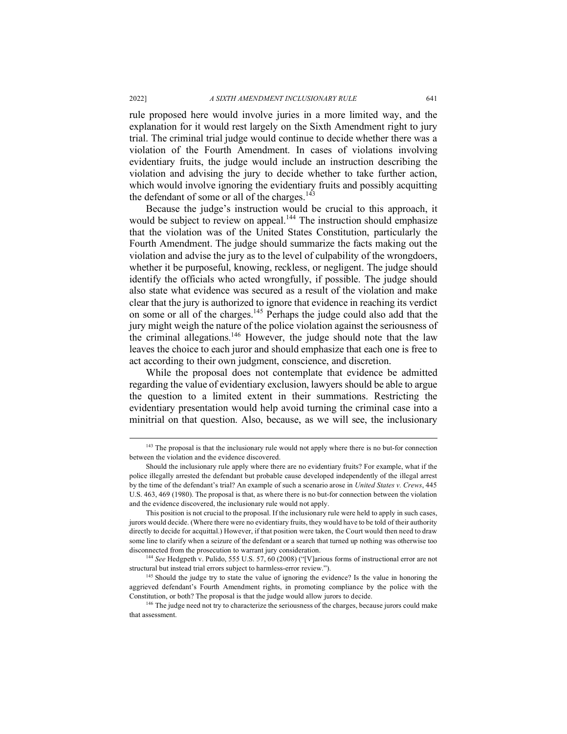rule proposed here would involve juries in a more limited way, and the explanation for it would rest largely on the Sixth Amendment right to jury trial. The criminal trial judge would continue to decide whether there was a violation of the Fourth Amendment. In cases of violations involving evidentiary fruits, the judge would include an instruction describing the violation and advising the jury to decide whether to take further action, which would involve ignoring the evidentiary fruits and possibly acquitting the defendant of some or all of the charges. $143$ 

Because the judge's instruction would be crucial to this approach, it would be subject to review on appeal.<sup>144</sup> The instruction should emphasize that the violation was of the United States Constitution, particularly the Fourth Amendment. The judge should summarize the facts making out the violation and advise the jury as to the level of culpability of the wrongdoers, whether it be purposeful, knowing, reckless, or negligent. The judge should identify the officials who acted wrongfully, if possible. The judge should also state what evidence was secured as a result of the violation and make clear that the jury is authorized to ignore that evidence in reaching its verdict on some or all of the charges.145 Perhaps the judge could also add that the jury might weigh the nature of the police violation against the seriousness of the criminal allegations.<sup>146</sup> However, the judge should note that the law leaves the choice to each juror and should emphasize that each one is free to act according to their own judgment, conscience, and discretion.

While the proposal does not contemplate that evidence be admitted regarding the value of evidentiary exclusion, lawyers should be able to argue the question to a limited extent in their summations. Restricting the evidentiary presentation would help avoid turning the criminal case into a minitrial on that question. Also, because, as we will see, the inclusionary

<sup>&</sup>lt;sup>143</sup> The proposal is that the inclusionary rule would not apply where there is no but-for connection between the violation and the evidence discovered.

Should the inclusionary rule apply where there are no evidentiary fruits? For example, what if the police illegally arrested the defendant but probable cause developed independently of the illegal arrest by the time of the defendant's trial? An example of such a scenario arose in *United States v. Crews*, 445 U.S. 463, 469 (1980). The proposal is that, as where there is no but-for connection between the violation and the evidence discovered, the inclusionary rule would not apply.

This position is not crucial to the proposal. If the inclusionary rule were held to apply in such cases, jurors would decide. (Where there were no evidentiary fruits, they would have to be told of their authority directly to decide for acquittal.) However, if that position were taken, the Court would then need to draw some line to clarify when a seizure of the defendant or a search that turned up nothing was otherwise too disconnected from the prosecution to warrant jury consideration.

<sup>144</sup> *See* Hedgpeth v. Pulido, 555 U.S. 57, 60 (2008) ("[V]arious forms of instructional error are not structural but instead trial errors subject to harmless-error review.").

<sup>&</sup>lt;sup>145</sup> Should the judge try to state the value of ignoring the evidence? Is the value in honoring the aggrieved defendant's Fourth Amendment rights, in promoting compliance by the police with the Constitution, or both? The proposal is that the judge would allow jurors to decide.

<sup>&</sup>lt;sup>146</sup> The judge need not try to characterize the seriousness of the charges, because jurors could make that assessment.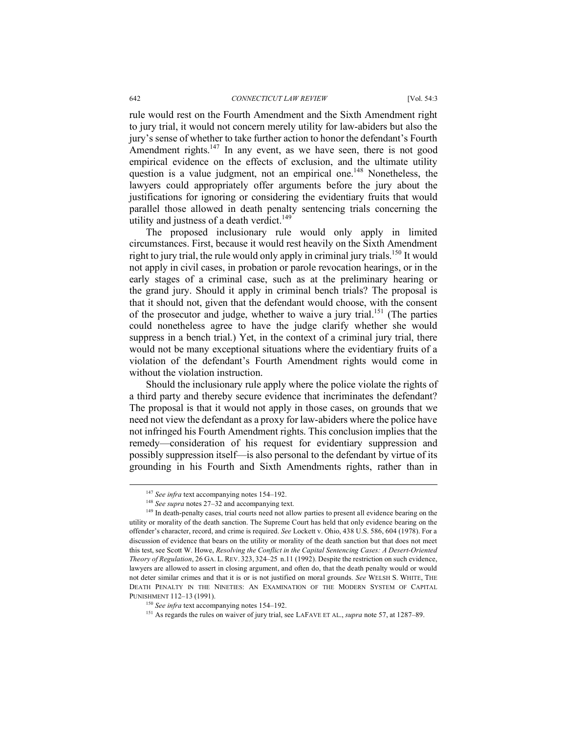#### 642 *CONNECTICUT LAW REVIEW* [Vol. 54:3

rule would rest on the Fourth Amendment and the Sixth Amendment right to jury trial, it would not concern merely utility for law-abiders but also the jury's sense of whether to take further action to honor the defendant's Fourth Amendment rights. $147$  In any event, as we have seen, there is not good empirical evidence on the effects of exclusion, and the ultimate utility question is a value judgment, not an empirical one.<sup>148</sup> Nonetheless, the lawyers could appropriately offer arguments before the jury about the justifications for ignoring or considering the evidentiary fruits that would parallel those allowed in death penalty sentencing trials concerning the utility and justness of a death verdict.<sup>149</sup>

The proposed inclusionary rule would only apply in limited circumstances. First, because it would rest heavily on the Sixth Amendment right to jury trial, the rule would only apply in criminal jury trials.<sup>150</sup> It would not apply in civil cases, in probation or parole revocation hearings, or in the early stages of a criminal case, such as at the preliminary hearing or the grand jury. Should it apply in criminal bench trials? The proposal is that it should not, given that the defendant would choose, with the consent of the prosecutor and judge, whether to waive a jury trial.<sup>151</sup> (The parties could nonetheless agree to have the judge clarify whether she would suppress in a bench trial.) Yet, in the context of a criminal jury trial, there would not be many exceptional situations where the evidentiary fruits of a violation of the defendant's Fourth Amendment rights would come in without the violation instruction.

Should the inclusionary rule apply where the police violate the rights of a third party and thereby secure evidence that incriminates the defendant? The proposal is that it would not apply in those cases, on grounds that we need not view the defendant as a proxy for law-abiders where the police have not infringed his Fourth Amendment rights. This conclusion implies that the remedy—consideration of his request for evidentiary suppression and possibly suppression itself—is also personal to the defendant by virtue of its grounding in his Fourth and Sixth Amendments rights, rather than in

 <sup>147</sup> *See infra* text accompanying notes 154–192.

<sup>148</sup> *See supra* notes 27–32 and accompanying text.

<sup>&</sup>lt;sup>149</sup> In death-penalty cases, trial courts need not allow parties to present all evidence bearing on the utility or morality of the death sanction. The Supreme Court has held that only evidence bearing on the offender's character, record, and crime is required. *See* Lockett v. Ohio, 438 U.S. 586, 604 (1978). For a discussion of evidence that bears on the utility or morality of the death sanction but that does not meet this test, see Scott W. Howe, *Resolving the Conflict in the Capital Sentencing Cases: A Desert-Oriented Theory of Regulation*, 26 GA. L. REV. 323, 324–25 n.11 (1992). Despite the restriction on such evidence, lawyers are allowed to assert in closing argument, and often do, that the death penalty would or would not deter similar crimes and that it is or is not justified on moral grounds. *See* WELSH S. WHITE, THE DEATH PENALTY IN THE NINETIES: AN EXAMINATION OF THE MODERN SYSTEM OF CAPITAL PUNISHMENT 112–13 (1991).

<sup>150</sup> *See infra* text accompanying notes 154–192.

<sup>151</sup> As regards the rules on waiver of jury trial, see LAFAVE ET AL., *supra* note 57, at 1287–89.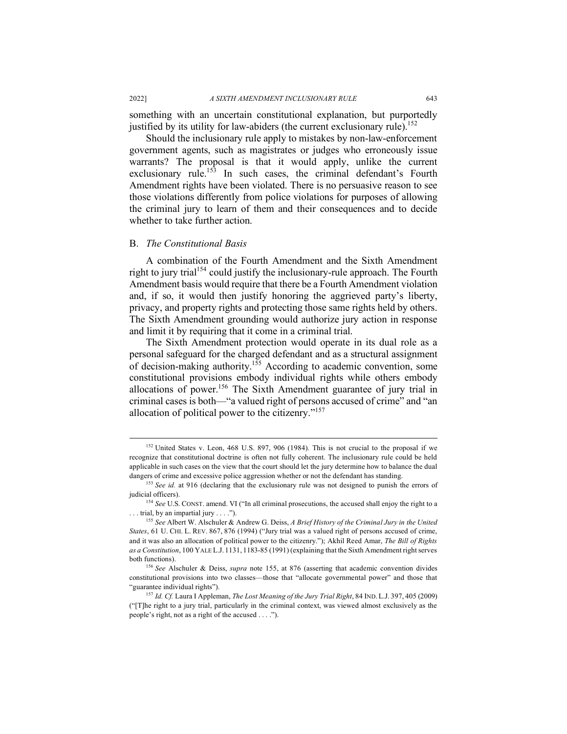something with an uncertain constitutional explanation, but purportedly justified by its utility for law-abiders (the current exclusionary rule).<sup>152</sup>

Should the inclusionary rule apply to mistakes by non-law-enforcement government agents, such as magistrates or judges who erroneously issue warrants? The proposal is that it would apply, unlike the current exclusionary rule.<sup>153</sup> In such cases, the criminal defendant's Fourth Amendment rights have been violated. There is no persuasive reason to see those violations differently from police violations for purposes of allowing the criminal jury to learn of them and their consequences and to decide whether to take further action.

### B. *The Constitutional Basis*

A combination of the Fourth Amendment and the Sixth Amendment right to jury trial<sup>154</sup> could justify the inclusionary-rule approach. The Fourth Amendment basis would require that there be a Fourth Amendment violation and, if so, it would then justify honoring the aggrieved party's liberty, privacy, and property rights and protecting those same rights held by others. The Sixth Amendment grounding would authorize jury action in response and limit it by requiring that it come in a criminal trial.

The Sixth Amendment protection would operate in its dual role as a personal safeguard for the charged defendant and as a structural assignment of decision-making authority.<sup>155</sup> According to academic convention, some constitutional provisions embody individual rights while others embody allocations of power.<sup>156</sup> The Sixth Amendment guarantee of jury trial in criminal cases is both—"a valued right of persons accused of crime" and "an allocation of political power to the citizenry."157

<sup>&</sup>lt;sup>152</sup> United States v. Leon, 468 U.S. 897, 906 (1984). This is not crucial to the proposal if we recognize that constitutional doctrine is often not fully coherent. The inclusionary rule could be held applicable in such cases on the view that the court should let the jury determine how to balance the dual dangers of crime and excessive police aggression whether or not the defendant has standing.

<sup>153</sup> *See id.* at 916 (declaring that the exclusionary rule was not designed to punish the errors of judicial officers).

<sup>&</sup>lt;sup>154</sup> See U.S. CONST. amend. VI ("In all criminal prosecutions, the accused shall enjoy the right to a . . . trial, by an impartial jury . . . .").

<sup>155</sup> *See* Albert W. Alschuler & Andrew G. Deiss, *A Brief History of the Criminal Jury in the United States*, 61 U. CHI. L. REV. 867, 876 (1994) ("Jury trial was a valued right of persons accused of crime, and it was also an allocation of political power to the citizenry."); Akhil Reed Amar, *The Bill of Rights as a Constitution*, 100 YALE L.J. 1131, 1183-85 (1991) (explaining that the Sixth Amendment right serves both functions).

<sup>156</sup> *See* Alschuler & Deiss, *supra* note 155, at 876 (asserting that academic convention divides constitutional provisions into two classes—those that "allocate governmental power" and those that "guarantee individual rights"). 157 *Id. Cf.* Laura I Appleman, *The Lost Meaning of the Jury Trial Right*, 84 IND.L.J. 397, <sup>405</sup> (2009)

<sup>(&</sup>quot;[T]he right to a jury trial, particularly in the criminal context, was viewed almost exclusively as the people's right, not as a right of the accused . . . .").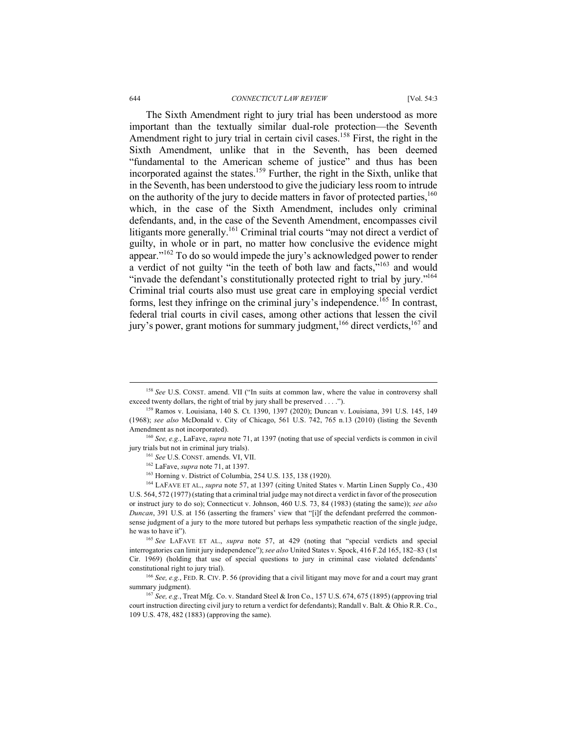The Sixth Amendment right to jury trial has been understood as more important than the textually similar dual-role protection—the Seventh Amendment right to jury trial in certain civil cases.<sup>158</sup> First, the right in the Sixth Amendment, unlike that in the Seventh, has been deemed "fundamental to the American scheme of justice" and thus has been incorporated against the states.159 Further, the right in the Sixth, unlike that in the Seventh, has been understood to give the judiciary less room to intrude on the authority of the jury to decide matters in favor of protected parties,  $160$ which, in the case of the Sixth Amendment, includes only criminal defendants, and, in the case of the Seventh Amendment, encompasses civil litigants more generally.<sup>161</sup> Criminal trial courts "may not direct a verdict of guilty, in whole or in part, no matter how conclusive the evidence might appear."<sup>162</sup> To do so would impede the jury's acknowledged power to render a verdict of not guilty "in the teeth of both law and facts,"<sup>163</sup> and would "invade the defendant's constitutionally protected right to trial by jury."164 Criminal trial courts also must use great care in employing special verdict forms, lest they infringe on the criminal jury's independence.<sup>165</sup> In contrast, federal trial courts in civil cases, among other actions that lessen the civil jury's power, grant motions for summary judgment,  $166$  direct verdicts,  $167$  and

 <sup>158</sup> *See* U.S. CONST. amend. VII ("In suits at common law, where the value in controversy shall exceed twenty dollars, the right of trial by jury shall be preserved . . . .").

<sup>159</sup> Ramos v. Louisiana, 140 S. Ct. 1390, 1397 (2020); Duncan v. Louisiana, 391 U.S. 145, 149 (1968); *see also* McDonald v. City of Chicago, 561 U.S. 742, 765 n.13 (2010) (listing the Seventh Amendment as not incorporated).

<sup>160</sup> *See, e.g.*, LaFave, *supra* note 71, at 1397 (noting that use of special verdicts is common in civil jury trials but not in criminal jury trials).

<sup>161</sup> *See* U.S. CONST. amends. VI, VII.

<sup>162</sup> LaFave, *supra* note 71, at 1397.

<sup>163</sup> Horning v. District of Columbia, 254 U.S. 135, 138 (1920).

<sup>164</sup> LAFAVE ET AL., *supra* note 57, at 1397 (citing United States v. Martin Linen Supply Co*.*, 430 U.S. 564, 572 (1977) (stating that a criminal trial judge may not direct a verdict in favor of the prosecution or instruct jury to do so); Connecticut v. Johnson, 460 U.S. 73, 84 (1983) (stating the same)); *see also Duncan*, 391 U.S. at 156 (asserting the framers' view that "[i]f the defendant preferred the commonsense judgment of a jury to the more tutored but perhaps less sympathetic reaction of the single judge, he was to have it").

<sup>165</sup> *See* LAFAVE ET AL., *supra* note 57, at 429 (noting that "special verdicts and special interrogatories can limit jury independence"); *see also* United States v. Spock, 416 F.2d 165, 182–83 (1st Cir. 1969) (holding that use of special questions to jury in criminal case violated defendants' constitutional right to jury trial).

<sup>166</sup> *See, e.g.*, FED. R. CIV. P. 56 (providing that a civil litigant may move for and a court may grant summary judgment). 167 *See, e.g.*, Treat Mfg. Co. v. Standard Steel & Iron Co., 157 U.S. 674, 675 (1895) (approving trial

court instruction directing civil jury to return a verdict for defendants); Randall v. Balt. & Ohio R.R. Co., 109 U.S. 478, 482 (1883) (approving the same).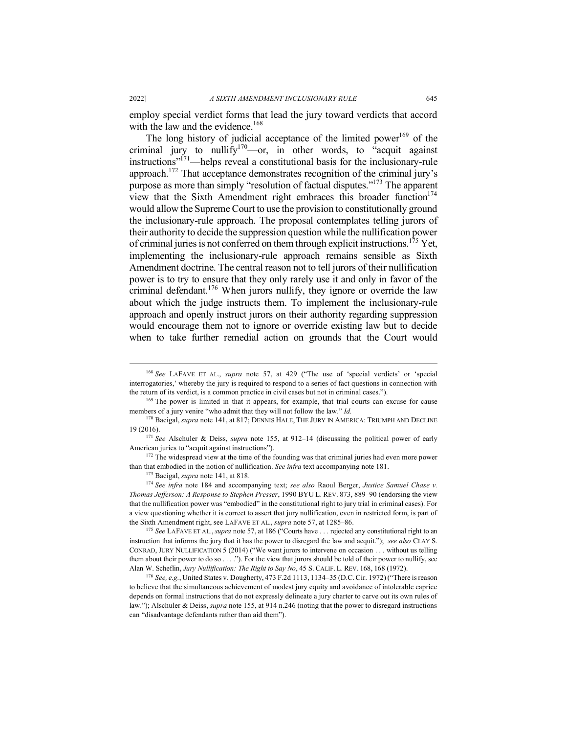employ special verdict forms that lead the jury toward verdicts that accord with the law and the evidence. $168$ 

The long history of judicial acceptance of the limited power<sup>169</sup> of the criminal jury to nullify $v^{170}$  or, in other words, to "acquit against" instructions"<sup>171</sup>—helps reveal a constitutional basis for the inclusionary-rule approach.172 That acceptance demonstrates recognition of the criminal jury's purpose as more than simply "resolution of factual disputes."<sup>173</sup> The apparent view that the Sixth Amendment right embraces this broader function<sup>174</sup> would allow the Supreme Court to use the provision to constitutionally ground the inclusionary-rule approach. The proposal contemplates telling jurors of their authority to decide the suppression question while the nullification power of criminal juries is not conferred on them through explicit instructions.175 Yet, implementing the inclusionary-rule approach remains sensible as Sixth Amendment doctrine. The central reason not to tell jurors of their nullification power is to try to ensure that they only rarely use it and only in favor of the criminal defendant.<sup>176</sup> When jurors nullify, they ignore or override the law about which the judge instructs them. To implement the inclusionary-rule approach and openly instruct jurors on their authority regarding suppression would encourage them not to ignore or override existing law but to decide when to take further remedial action on grounds that the Court would

<sup>172</sup> The widespread view at the time of the founding was that criminal juries had even more power than that embodied in the notion of nullification. *See infra* text accompanying note 181.

<sup>173</sup> Bacigal, *supra* note 141, at 818.

<sup>174</sup> *See infra* note 184 and accompanying text; *see also* Raoul Berger, *Justice Samuel Chase v. Thomas Jefferson: A Response to Stephen Presser*, 1990 BYU L. REV. 873, 889–90 (endorsing the view that the nullification power was "embodied" in the constitutional right to jury trial in criminal cases). For a view questioning whether it is correct to assert that jury nullification, even in restricted form, is part of the Sixth Amendment right, see LAFAVE ET AL., *supra* note 57, at 1285–86.

<sup>175</sup> *See* LAFAVE ET AL.,*supra* note 57, at 186 ("Courts have . . . rejected any constitutional right to an instruction that informs the jury that it has the power to disregard the law and acquit."); *see also* CLAY S. CONRAD, JURY NULLIFICATION 5 (2014) ("We want jurors to intervene on occasion . . . without us telling them about their power to do so . . . ."). For the view that jurors should be told of their power to nullify, see Alan W. Scheflin, *Jury Nullification: The Right to Say No*, 45 S. CALIF. L. REV. 168, 168 (1972).

<sup>176</sup> *See, e.g.*, United States v. Dougherty, 473 F.2d 1113, 1134–35 (D.C. Cir. 1972) ("There is reason to believe that the simultaneous achievement of modest jury equity and avoidance of intolerable caprice depends on formal instructions that do not expressly delineate a jury charter to carve out its own rules of law."); Alschuler & Deiss, *supra* note 155, at 914 n.246 (noting that the power to disregard instructions can "disadvantage defendants rather than aid them").

 <sup>168</sup> *See* LAFAVE ET AL., *supra* note 57, at 429 ("The use of 'special verdicts' or 'special interrogatories,' whereby the jury is required to respond to a series of fact questions in connection with the return of its verdict, is a common practice in civil cases but not in criminal cases.").

<sup>&</sup>lt;sup>169</sup> The power is limited in that it appears, for example, that trial courts can excuse for cause members of a jury venire "who admit that they will not follow the law." *Id.* 

<sup>&</sup>lt;sup>170</sup> Bacigal, *supra* note 141, at 817; DENNIS HALE, THE JURY IN AMERICA: TRIUMPH AND DECLINE 19 (2016).

<sup>171</sup> *See* Alschuler & Deiss, *supra* note 155, at 912–14 (discussing the political power of early American juries to "acquit against instructions").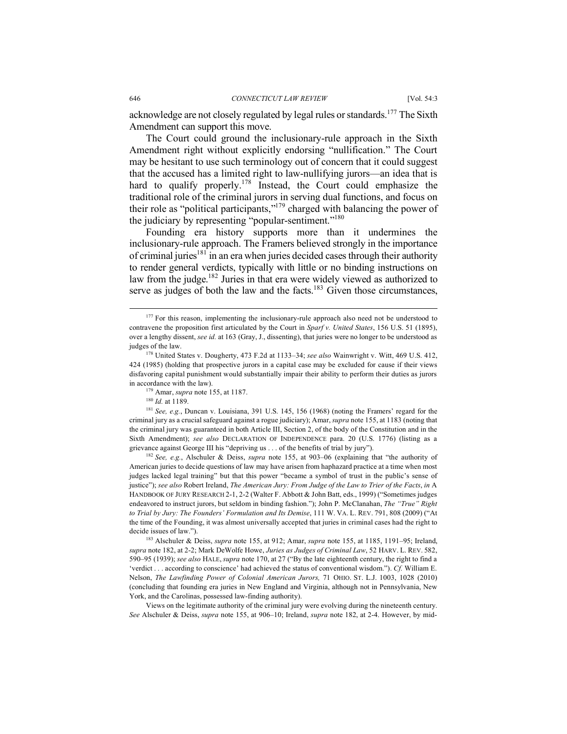acknowledge are not closely regulated by legal rules or standards.177 The Sixth Amendment can support this move.

The Court could ground the inclusionary-rule approach in the Sixth Amendment right without explicitly endorsing "nullification." The Court may be hesitant to use such terminology out of concern that it could suggest that the accused has a limited right to law-nullifying jurors—an idea that is hard to qualify properly.<sup>178</sup> Instead, the Court could emphasize the traditional role of the criminal jurors in serving dual functions, and focus on their role as "political participants,"179 charged with balancing the power of the judiciary by representing "popular-sentiment."<sup>180</sup>

Founding era history supports more than it undermines the inclusionary-rule approach. The Framers believed strongly in the importance of criminal juries<sup>181</sup> in an era when juries decided cases through their authority to render general verdicts, typically with little or no binding instructions on law from the judge.182 Juries in that era were widely viewed as authorized to serve as judges of both the law and the facts. $183$  Given those circumstances,

<sup>181</sup> *See, e.g.*, Duncan v. Louisiana, 391 U.S. 145, 156 (1968) (noting the Framers' regard for the criminal jury as a crucial safeguard against a rogue judiciary); Amar, *supra* note 155, at 1183 (noting that the criminal jury was guaranteed in both Article III, Section 2, of the body of the Constitution and in the Sixth Amendment); *see also* DECLARATION OF INDEPENDENCE para. 20 (U.S. 1776) (listing as a grievance against George III his "depriving us . . . of the benefits of trial by jury").

<sup>182</sup> *See, e.g.*, Alschuler & Deiss, *supra* note 155, at 903–06 (explaining that "the authority of American juries to decide questions of law may have arisen from haphazard practice at a time when most judges lacked legal training" but that this power "became a symbol of trust in the public's sense of justice"); *see also* Robert Ireland, *The American Jury: From Judge of the Law to Trier of the Facts*, *in* A HANDBOOK OF JURY RESEARCH 2-1, 2-2 (Walter F. Abbott & John Batt, eds., 1999) ("Sometimes judges endeavored to instruct jurors, but seldom in binding fashion."); John P. McClanahan, *The "True" Right to Trial by Jury: The Founders' Formulation and Its Demise*, 111 W. VA. L. REV. 791, 808 (2009) ("At the time of the Founding, it was almost universally accepted that juries in criminal cases had the right to decide issues of law.").

<sup>183</sup> Alschuler & Deiss, *supra* note 155, at 912; Amar, *supra* note 155, at 1185, 1191–95; Ireland, *supra* note 182, at 2-2; Mark DeWolfe Howe, *Juries as Judges of Criminal Law*, 52 HARV. L. REV. 582, 590–95 (1939); *see also* HALE, *supra* note 170, at 27 ("By the late eighteenth century, the right to find a 'verdict . . . according to conscience' had achieved the status of conventional wisdom."). *Cf.* William E. Nelson, *The Lawfinding Power of Colonial American Jurors,* 71 OHIO. ST. L.J. 1003, 1028 (2010) (concluding that founding era juries in New England and Virginia, although not in Pennsylvania, New York, and the Carolinas, possessed law-finding authority).

Views on the legitimate authority of the criminal jury were evolving during the nineteenth century. *See* Alschuler & Deiss, *supra* note 155, at 906–10; Ireland, *supra* note 182, at 2-4. However, by mid-

<sup>&</sup>lt;sup>177</sup> For this reason, implementing the inclusionary-rule approach also need not be understood to contravene the proposition first articulated by the Court in *Sparf v. United States*, 156 U.S. 51 (1895), over a lengthy dissent, *see id.* at 163 (Gray, J., dissenting), that juries were no longer to be understood as judges of the law.

<sup>178</sup> United States v. Dougherty, 473 F.2d at 1133–34; *see also* Wainwright v. Witt, 469 U.S. 412, 424 (1985) (holding that prospective jurors in a capital case may be excluded for cause if their views disfavoring capital punishment would substantially impair their ability to perform their duties as jurors in accordance with the law).

<sup>179</sup> Amar, *supra* note 155, at 1187.

<sup>180</sup> *Id.* at 1189.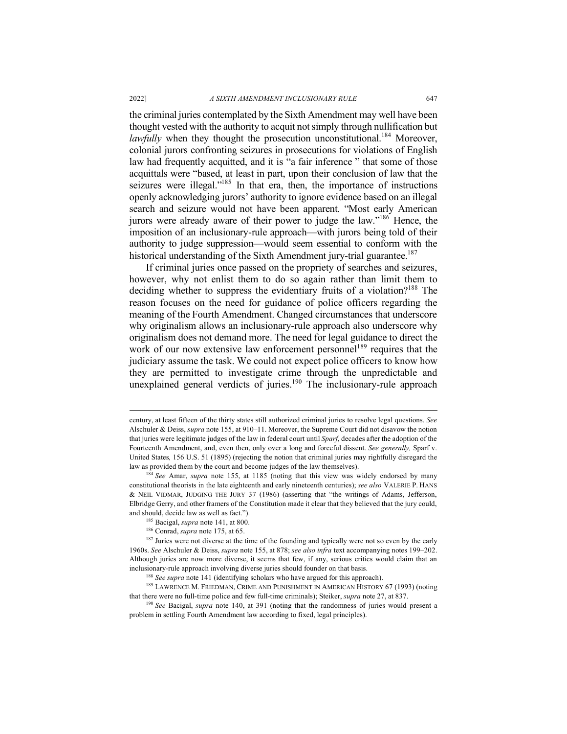the criminal juries contemplated by the Sixth Amendment may well have been thought vested with the authority to acquit not simply through nullification but *lawfully* when they thought the prosecution unconstitutional.<sup>184</sup> Moreover, colonial jurors confronting seizures in prosecutions for violations of English law had frequently acquitted, and it is "a fair inference " that some of those acquittals were "based, at least in part, upon their conclusion of law that the seizures were illegal."<sup>185</sup> In that era, then, the importance of instructions openly acknowledging jurors' authority to ignore evidence based on an illegal search and seizure would not have been apparent. "Most early American jurors were already aware of their power to judge the law."<sup>186</sup> Hence, the imposition of an inclusionary-rule approach—with jurors being told of their authority to judge suppression—would seem essential to conform with the historical understanding of the Sixth Amendment jury-trial guarantee.<sup>187</sup>

If criminal juries once passed on the propriety of searches and seizures, however, why not enlist them to do so again rather than limit them to deciding whether to suppress the evidentiary fruits of a violation?<sup>188</sup> The reason focuses on the need for guidance of police officers regarding the meaning of the Fourth Amendment. Changed circumstances that underscore why originalism allows an inclusionary-rule approach also underscore why originalism does not demand more. The need for legal guidance to direct the work of our now extensive law enforcement personnel<sup>189</sup> requires that the judiciary assume the task. We could not expect police officers to know how they are permitted to investigate crime through the unpredictable and unexplained general verdicts of juries.<sup>190</sup> The inclusionary-rule approach

century, at least fifteen of the thirty states still authorized criminal juries to resolve legal questions. *See*  Alschuler & Deiss, *supra* note 155, at 910–11. Moreover, the Supreme Court did not disavow the notion that juries were legitimate judges of the law in federal court until *Sparf*, decades after the adoption of the Fourteenth Amendment, and, even then, only over a long and forceful dissent. *See generally,* Sparf v. United States*,* 156 U.S. 51 (1895) (rejecting the notion that criminal juries may rightfully disregard the law as provided them by the court and become judges of the law themselves).

<sup>184</sup> *See* Amar, *supra* note 155, at 1185 (noting that this view was widely endorsed by many constitutional theorists in the late eighteenth and early nineteenth centuries); *see also* VALERIE P. HANS & NEIL VIDMAR, JUDGING THE JURY 37 (1986) (asserting that "the writings of Adams, Jefferson, Elbridge Gerry, and other framers of the Constitution made it clear that they believed that the jury could, and should, decide law as well as fact.").

<sup>185</sup> Bacigal, *supra* note 141, at 800.

<sup>186</sup> Conrad, *supra* note 175, at 65.

<sup>&</sup>lt;sup>187</sup> Juries were not diverse at the time of the founding and typically were not so even by the early 1960s. *See* Alschuler & Deiss, *supra* note 155, at 878; *see also infra* text accompanying notes 199–202. Although juries are now more diverse, it seems that few, if any, serious critics would claim that an inclusionary-rule approach involving diverse juries should founder on that basis.

<sup>&</sup>lt;sup>188</sup> See supra note 141 (identifying scholars who have argued for this approach).

<sup>189</sup> LAWRENCE M. FRIEDMAN, CRIME AND PUNISHMENT IN AMERICAN HISTORY 67 (1993) (noting that there were no full-time police and few full-time criminals); Steiker, *supra* note 27, at 837.<br><sup>190</sup> *See* Bacigal, *supra* note 140, at 391 (noting that the randomness of juries would present a

problem in settling Fourth Amendment law according to fixed, legal principles).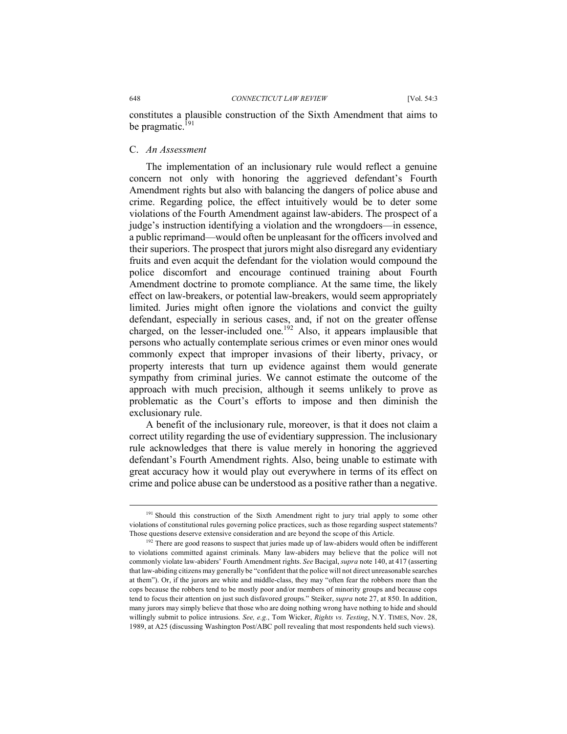648 *CONNECTICUT LAW REVIEW* [Vol. 54:3

constitutes a plausible construction of the Sixth Amendment that aims to be pragmatic. $^{191}$ 

## C. *An Assessment*

The implementation of an inclusionary rule would reflect a genuine concern not only with honoring the aggrieved defendant's Fourth Amendment rights but also with balancing the dangers of police abuse and crime. Regarding police, the effect intuitively would be to deter some violations of the Fourth Amendment against law-abiders. The prospect of a judge's instruction identifying a violation and the wrongdoers—in essence, a public reprimand—would often be unpleasant for the officers involved and their superiors. The prospect that jurors might also disregard any evidentiary fruits and even acquit the defendant for the violation would compound the police discomfort and encourage continued training about Fourth Amendment doctrine to promote compliance. At the same time, the likely effect on law-breakers, or potential law-breakers, would seem appropriately limited. Juries might often ignore the violations and convict the guilty defendant, especially in serious cases, and, if not on the greater offense charged, on the lesser-included one.<sup>192</sup> Also, it appears implausible that persons who actually contemplate serious crimes or even minor ones would commonly expect that improper invasions of their liberty, privacy, or property interests that turn up evidence against them would generate sympathy from criminal juries. We cannot estimate the outcome of the approach with much precision, although it seems unlikely to prove as problematic as the Court's efforts to impose and then diminish the exclusionary rule.

A benefit of the inclusionary rule, moreover, is that it does not claim a correct utility regarding the use of evidentiary suppression. The inclusionary rule acknowledges that there is value merely in honoring the aggrieved defendant's Fourth Amendment rights. Also, being unable to estimate with great accuracy how it would play out everywhere in terms of its effect on crime and police abuse can be understood as a positive rather than a negative.

<sup>&</sup>lt;sup>191</sup> Should this construction of the Sixth Amendment right to jury trial apply to some other violations of constitutional rules governing police practices, such as those regarding suspect statements? Those questions deserve extensive consideration and are beyond the scope of this Article.

 $192$  There are good reasons to suspect that juries made up of law-abiders would often be indifferent to violations committed against criminals. Many law-abiders may believe that the police will not commonly violate law-abiders' Fourth Amendment rights. *See* Bacigal, *supra* note 140, at 417 (asserting that law-abiding citizens may generally be "confident that the police will not direct unreasonable searches at them"). Or, if the jurors are white and middle-class, they may "often fear the robbers more than the cops because the robbers tend to be mostly poor and/or members of minority groups and because cops tend to focus their attention on just such disfavored groups." Steiker, *supra* note 27, at 850. In addition, many jurors may simply believe that those who are doing nothing wrong have nothing to hide and should willingly submit to police intrusions. *See, e.g.*, Tom Wicker, *Rights vs. Testing*, N.Y. TIMES, Nov. 28, 1989, at A25 (discussing Washington Post/ABC poll revealing that most respondents held such views).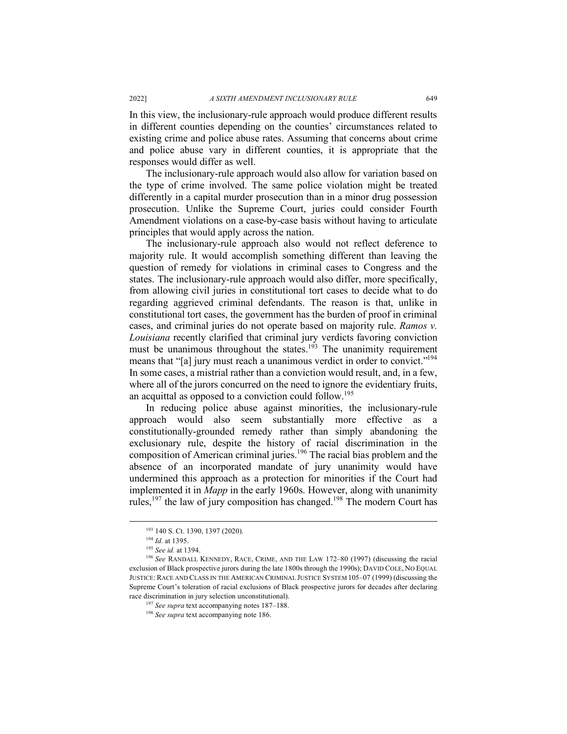In this view, the inclusionary-rule approach would produce different results in different counties depending on the counties' circumstances related to existing crime and police abuse rates. Assuming that concerns about crime and police abuse vary in different counties, it is appropriate that the responses would differ as well.

The inclusionary-rule approach would also allow for variation based on the type of crime involved. The same police violation might be treated differently in a capital murder prosecution than in a minor drug possession prosecution. Unlike the Supreme Court, juries could consider Fourth Amendment violations on a case-by-case basis without having to articulate principles that would apply across the nation.

The inclusionary-rule approach also would not reflect deference to majority rule. It would accomplish something different than leaving the question of remedy for violations in criminal cases to Congress and the states. The inclusionary-rule approach would also differ, more specifically, from allowing civil juries in constitutional tort cases to decide what to do regarding aggrieved criminal defendants. The reason is that, unlike in constitutional tort cases, the government has the burden of proof in criminal cases, and criminal juries do not operate based on majority rule. *Ramos v. Louisiana* recently clarified that criminal jury verdicts favoring conviction must be unanimous throughout the states.<sup>193</sup> The unanimity requirement means that "[a] jury must reach a unanimous verdict in order to convict."194 In some cases, a mistrial rather than a conviction would result, and, in a few, where all of the jurors concurred on the need to ignore the evidentiary fruits, an acquittal as opposed to a conviction could follow.<sup>195</sup>

In reducing police abuse against minorities, the inclusionary-rule approach would also seem substantially more effective as a constitutionally-grounded remedy rather than simply abandoning the exclusionary rule, despite the history of racial discrimination in the composition of American criminal juries.<sup>196</sup> The racial bias problem and the absence of an incorporated mandate of jury unanimity would have undermined this approach as a protection for minorities if the Court had implemented it in *Mapp* in the early 1960s. However, along with unanimity rules,<sup>197</sup> the law of jury composition has changed.<sup>198</sup> The modern Court has

 <sup>193</sup> 140 S. Ct. 1390, 1397 (2020).

<sup>194</sup> *Id.* at 1395.

<sup>195</sup> *See id.* at 1394.

<sup>196</sup> *See* RANDALL KENNEDY, RACE, CRIME, AND THE LAW 172–80 (1997) (discussing the racial exclusion of Black prospective jurors during the late 1800s through the 1990s); DAVID COLE, NO EQUAL JUSTICE: RACE AND CLASS IN THE AMERICAN CRIMINAL JUSTICE SYSTEM 105–07 (1999) (discussing the Supreme Court's toleration of racial exclusions of Black prospective jurors for decades after declaring race discrimination in jury selection unconstitutional).

<sup>&</sup>lt;sup>197</sup> *See supra* text accompanying notes 187–188.<br><sup>198</sup> *See supra* text accompanying note 186.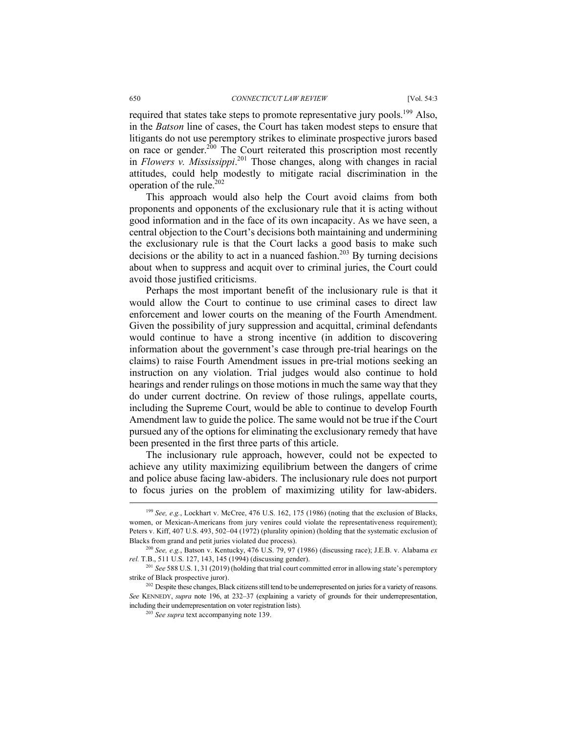required that states take steps to promote representative jury pools.<sup>199</sup> Also, in the *Batson* line of cases, the Court has taken modest steps to ensure that litigants do not use peremptory strikes to eliminate prospective jurors based on race or gender.<sup>200</sup> The Court reiterated this proscription most recently in *Flowers v. Mississippi*. <sup>201</sup> Those changes, along with changes in racial attitudes, could help modestly to mitigate racial discrimination in the operation of the rule.202

This approach would also help the Court avoid claims from both proponents and opponents of the exclusionary rule that it is acting without good information and in the face of its own incapacity. As we have seen, a central objection to the Court's decisions both maintaining and undermining the exclusionary rule is that the Court lacks a good basis to make such decisions or the ability to act in a nuanced fashion.<sup>203</sup> By turning decisions about when to suppress and acquit over to criminal juries, the Court could avoid those justified criticisms.

Perhaps the most important benefit of the inclusionary rule is that it would allow the Court to continue to use criminal cases to direct law enforcement and lower courts on the meaning of the Fourth Amendment. Given the possibility of jury suppression and acquittal, criminal defendants would continue to have a strong incentive (in addition to discovering information about the government's case through pre-trial hearings on the claims) to raise Fourth Amendment issues in pre-trial motions seeking an instruction on any violation. Trial judges would also continue to hold hearings and render rulings on those motions in much the same way that they do under current doctrine. On review of those rulings, appellate courts, including the Supreme Court, would be able to continue to develop Fourth Amendment law to guide the police. The same would not be true if the Court pursued any of the options for eliminating the exclusionary remedy that have been presented in the first three parts of this article.

The inclusionary rule approach, however, could not be expected to achieve any utility maximizing equilibrium between the dangers of crime and police abuse facing law-abiders. The inclusionary rule does not purport to focus juries on the problem of maximizing utility for law-abiders.

<sup>&</sup>lt;sup>199</sup> See, e.g., Lockhart v. McCree, 476 U.S. 162, 175 (1986) (noting that the exclusion of Blacks, women, or Mexican-Americans from jury venires could violate the representativeness requirement); Peters v. Kiff, 407 U.S. 493, 502–04 (1972) (plurality opinion) (holding that the systematic exclusion of Blacks from grand and petit juries violated due process).

<sup>200</sup> *See, e.g.*, Batson v. Kentucky, 476 U.S. 79, 97 (1986) (discussing race); J.E.B. v. Alabama *ex* 

<sup>&</sup>lt;sup>201</sup> *See* 588 U.S. 1, 31 (2019) (holding that trial court committed error in allowing state's peremptory strike of Black prospective juror).

<sup>&</sup>lt;sup>202</sup> Despite these changes, Black citizens still tend to be underrepresented on juries for a variety of reasons. *See* KENNEDY, *supra* note 196, at 232–37 (explaining a variety of grounds for their underrepresentation, including their underrepresentation on voter registration lists).

<sup>203</sup> *See supra* text accompanying note 139.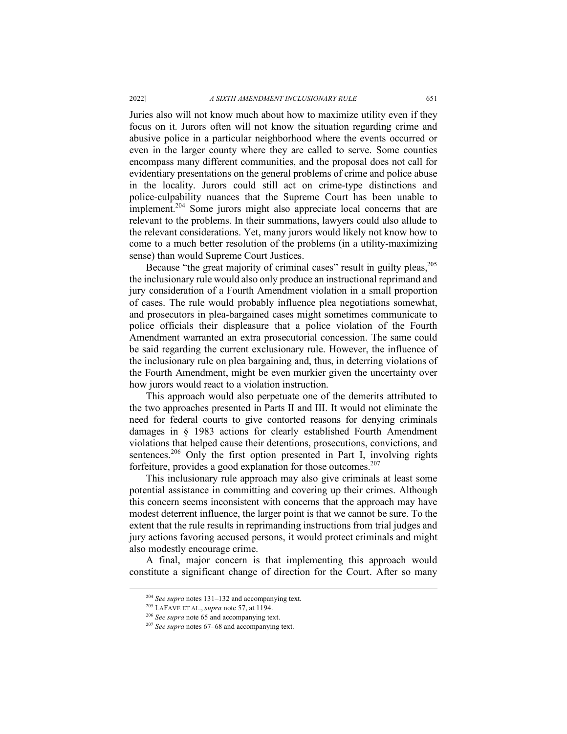#### 2022] *A SIXTH AMENDMENT INCLUSIONARY RULE* 651

Juries also will not know much about how to maximize utility even if they focus on it. Jurors often will not know the situation regarding crime and abusive police in a particular neighborhood where the events occurred or even in the larger county where they are called to serve. Some counties encompass many different communities, and the proposal does not call for evidentiary presentations on the general problems of crime and police abuse in the locality. Jurors could still act on crime-type distinctions and police-culpability nuances that the Supreme Court has been unable to implement.<sup>204</sup> Some jurors might also appreciate local concerns that are relevant to the problems. In their summations, lawyers could also allude to the relevant considerations. Yet, many jurors would likely not know how to come to a much better resolution of the problems (in a utility-maximizing sense) than would Supreme Court Justices.

Because "the great majority of criminal cases" result in guilty pleas,<sup>205</sup> the inclusionary rule would also only produce an instructional reprimand and jury consideration of a Fourth Amendment violation in a small proportion of cases. The rule would probably influence plea negotiations somewhat, and prosecutors in plea-bargained cases might sometimes communicate to police officials their displeasure that a police violation of the Fourth Amendment warranted an extra prosecutorial concession. The same could be said regarding the current exclusionary rule. However, the influence of the inclusionary rule on plea bargaining and, thus, in deterring violations of the Fourth Amendment, might be even murkier given the uncertainty over how jurors would react to a violation instruction.

This approach would also perpetuate one of the demerits attributed to the two approaches presented in Parts II and III. It would not eliminate the need for federal courts to give contorted reasons for denying criminals damages in § 1983 actions for clearly established Fourth Amendment violations that helped cause their detentions, prosecutions, convictions, and sentences.<sup>206</sup> Only the first option presented in Part I, involving rights forfeiture, provides a good explanation for those outcomes.<sup>207</sup>

This inclusionary rule approach may also give criminals at least some potential assistance in committing and covering up their crimes. Although this concern seems inconsistent with concerns that the approach may have modest deterrent influence, the larger point is that we cannot be sure. To the extent that the rule results in reprimanding instructions from trial judges and jury actions favoring accused persons, it would protect criminals and might also modestly encourage crime.

A final, major concern is that implementing this approach would constitute a significant change of direction for the Court. After so many

 <sup>204</sup> *See supra* notes 131–132 and accompanying text.

<sup>205</sup> LAFAVE ET AL., *supra* note 57, at 1194. 206 *See supra* note 65 and accompanying text.

<sup>207</sup> *See supra* notes 67–68 and accompanying text.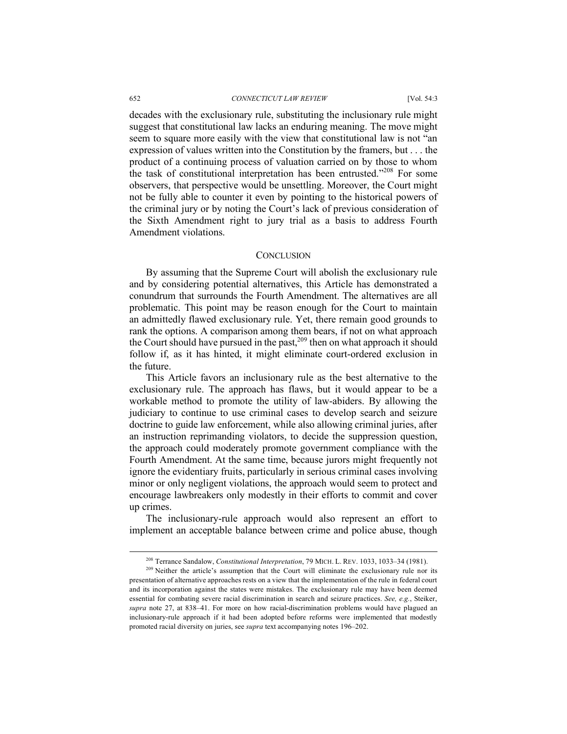decades with the exclusionary rule, substituting the inclusionary rule might suggest that constitutional law lacks an enduring meaning. The move might seem to square more easily with the view that constitutional law is not "an expression of values written into the Constitution by the framers, but . . . the product of a continuing process of valuation carried on by those to whom the task of constitutional interpretation has been entrusted."208 For some observers, that perspective would be unsettling. Moreover, the Court might not be fully able to counter it even by pointing to the historical powers of the criminal jury or by noting the Court's lack of previous consideration of the Sixth Amendment right to jury trial as a basis to address Fourth Amendment violations.

## **CONCLUSION**

By assuming that the Supreme Court will abolish the exclusionary rule and by considering potential alternatives, this Article has demonstrated a conundrum that surrounds the Fourth Amendment. The alternatives are all problematic. This point may be reason enough for the Court to maintain an admittedly flawed exclusionary rule. Yet, there remain good grounds to rank the options. A comparison among them bears, if not on what approach the Court should have pursued in the past,  $209$  then on what approach it should follow if, as it has hinted, it might eliminate court-ordered exclusion in the future.

This Article favors an inclusionary rule as the best alternative to the exclusionary rule. The approach has flaws, but it would appear to be a workable method to promote the utility of law-abiders. By allowing the judiciary to continue to use criminal cases to develop search and seizure doctrine to guide law enforcement, while also allowing criminal juries, after an instruction reprimanding violators, to decide the suppression question, the approach could moderately promote government compliance with the Fourth Amendment. At the same time, because jurors might frequently not ignore the evidentiary fruits, particularly in serious criminal cases involving minor or only negligent violations, the approach would seem to protect and encourage lawbreakers only modestly in their efforts to commit and cover up crimes.

The inclusionary-rule approach would also represent an effort to implement an acceptable balance between crime and police abuse, though

 <sup>208</sup> Terrance Sandalow, *Constitutional Interpretation*, 79 MICH. L. REV. 1033, 1033–34 (1981).

 $209$  Neither the article's assumption that the Court will eliminate the exclusionary rule nor its presentation of alternative approaches rests on a view that the implementation of the rule in federal court and its incorporation against the states were mistakes. The exclusionary rule may have been deemed essential for combating severe racial discrimination in search and seizure practices. *See, e.g.*, Steiker, *supra* note 27, at 838–41. For more on how racial-discrimination problems would have plagued an inclusionary-rule approach if it had been adopted before reforms were implemented that modestly promoted racial diversity on juries, see *supra* text accompanying notes 196–202.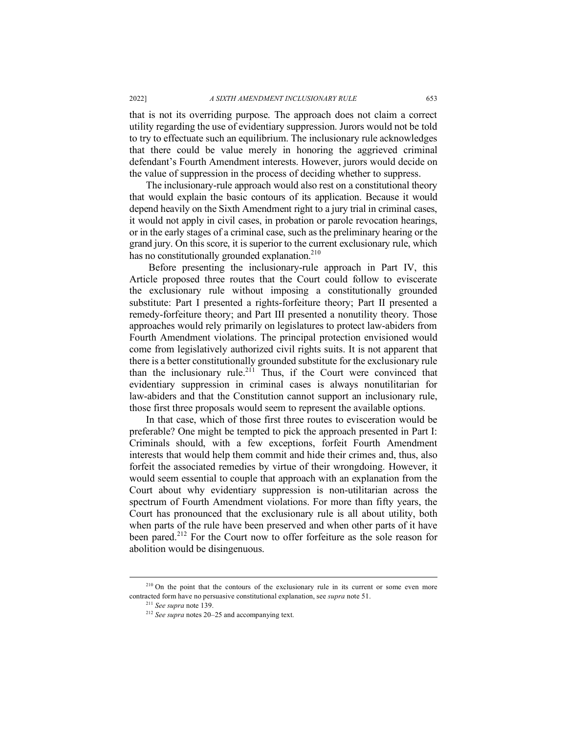that is not its overriding purpose. The approach does not claim a correct utility regarding the use of evidentiary suppression. Jurors would not be told to try to effectuate such an equilibrium. The inclusionary rule acknowledges that there could be value merely in honoring the aggrieved criminal defendant's Fourth Amendment interests. However, jurors would decide on the value of suppression in the process of deciding whether to suppress.

The inclusionary-rule approach would also rest on a constitutional theory that would explain the basic contours of its application. Because it would depend heavily on the Sixth Amendment right to a jury trial in criminal cases, it would not apply in civil cases, in probation or parole revocation hearings, or in the early stages of a criminal case, such as the preliminary hearing or the grand jury. On this score, it is superior to the current exclusionary rule, which has no constitutionally grounded explanation. $210$ 

Before presenting the inclusionary-rule approach in Part IV, this Article proposed three routes that the Court could follow to eviscerate the exclusionary rule without imposing a constitutionally grounded substitute: Part I presented a rights-forfeiture theory; Part II presented a remedy-forfeiture theory; and Part III presented a nonutility theory. Those approaches would rely primarily on legislatures to protect law-abiders from Fourth Amendment violations. The principal protection envisioned would come from legislatively authorized civil rights suits. It is not apparent that there is a better constitutionally grounded substitute for the exclusionary rule than the inclusionary rule.<sup>211</sup> Thus, if the Court were convinced that evidentiary suppression in criminal cases is always nonutilitarian for law-abiders and that the Constitution cannot support an inclusionary rule, those first three proposals would seem to represent the available options.

In that case, which of those first three routes to evisceration would be preferable? One might be tempted to pick the approach presented in Part I: Criminals should, with a few exceptions, forfeit Fourth Amendment interests that would help them commit and hide their crimes and, thus, also forfeit the associated remedies by virtue of their wrongdoing. However, it would seem essential to couple that approach with an explanation from the Court about why evidentiary suppression is non-utilitarian across the spectrum of Fourth Amendment violations. For more than fifty years, the Court has pronounced that the exclusionary rule is all about utility, both when parts of the rule have been preserved and when other parts of it have been pared.<sup>212</sup> For the Court now to offer forfeiture as the sole reason for abolition would be disingenuous.

<sup>&</sup>lt;sup>210</sup> On the point that the contours of the exclusionary rule in its current or some even more contracted form have no persuasive constitutional explanation, see *supra* note 51.

<sup>211</sup> *See supra* note 139. 212 *See supra* notes 20–25 and accompanying text.